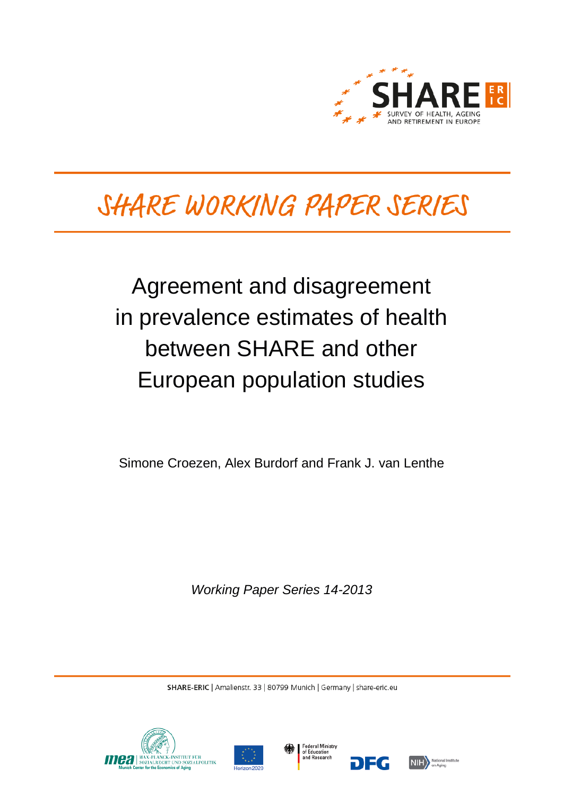

# SHARE WORKING PAPER SERIES

# Agreement and disagreement in prevalence estimates of health between SHARE and other European population studies

Simone Croezen, Alex Burdorf and Frank J. van Lenthe

*Working Paper Series 14-2013*

SHARE-ERIC | Amalienstr. 33 | 80799 Munich | Germany | share-eric.eu







DEG

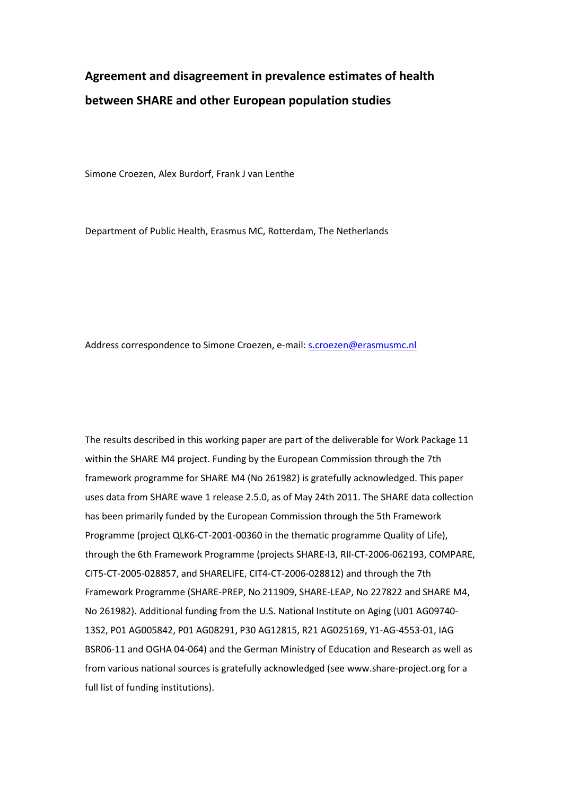# **Agreement and disagreement in prevalence estimates of health between SHARE and other European population studies**

Simone Croezen, Alex Burdorf, Frank J van Lenthe

Department of Public Health, Erasmus MC, Rotterdam, The Netherlands

Address correspondence to Simone Croezen, e-mail: [s.croezen@erasmusmc.nl](mailto:s.croezen@erasmusmc.nl)

The results described in this working paper are part of the deliverable for Work Package 11 within the SHARE M4 project. Funding by the European Commission through the 7th framework programme for SHARE M4 (No 261982) is gratefully acknowledged. This paper uses data from SHARE wave 1 release 2.5.0, as of May 24th 2011. The SHARE data collection has been primarily funded by the European Commission through the 5th Framework Programme (project QLK6-CT-2001-00360 in the thematic programme Quality of Life), through the 6th Framework Programme (projects SHARE-I3, RII-CT-2006-062193, COMPARE, CIT5-CT-2005-028857, and SHARELIFE, CIT4-CT-2006-028812) and through the 7th Framework Programme (SHARE-PREP, No 211909, SHARE-LEAP, No 227822 and SHARE M4, No 261982). Additional funding from the U.S. National Institute on Aging (U01 AG09740- 13S2, P01 AG005842, P01 AG08291, P30 AG12815, R21 AG025169, Y1-AG-4553-01, IAG BSR06-11 and OGHA 04-064) and the German Ministry of Education and Research as well as from various national sources is gratefully acknowledged (see www.share-project.org for a full list of funding institutions).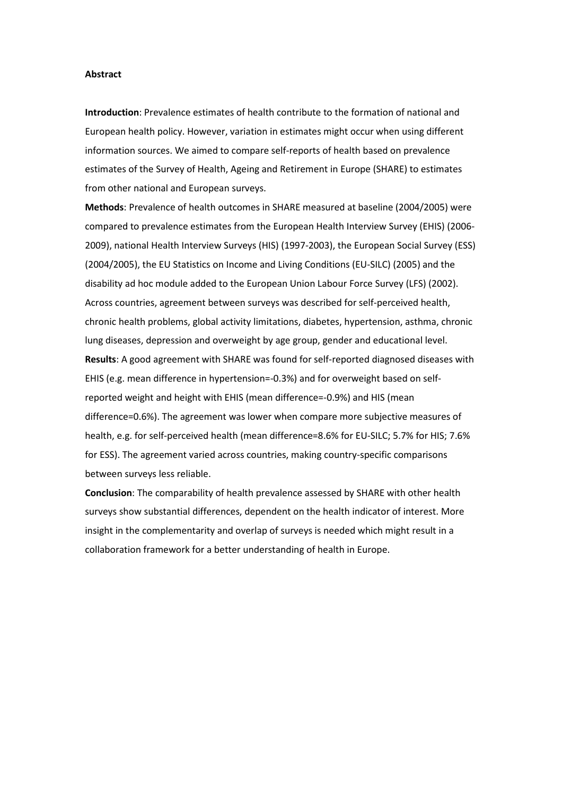#### **Abstract**

**Introduction**: Prevalence estimates of health contribute to the formation of national and European health policy. However, variation in estimates might occur when using different information sources. We aimed to compare self-reports of health based on prevalence estimates of the Survey of Health, Ageing and Retirement in Europe (SHARE) to estimates from other national and European surveys.

**Methods**: Prevalence of health outcomes in SHARE measured at baseline (2004/2005) were compared to prevalence estimates from the European Health Interview Survey (EHIS) (2006- 2009), national Health Interview Surveys (HIS) (1997-2003), the European Social Survey (ESS) (2004/2005), the EU Statistics on Income and Living Conditions (EU-SILC) (2005) and the disability ad hoc module added to the European Union Labour Force Survey (LFS) (2002). Across countries, agreement between surveys was described for self-perceived health, chronic health problems, global activity limitations, diabetes, hypertension, asthma, chronic lung diseases, depression and overweight by age group, gender and educational level. **Results**: A good agreement with SHARE was found for self-reported diagnosed diseases with EHIS (e.g. mean difference in hypertension=-0.3%) and for overweight based on selfreported weight and height with EHIS (mean difference=-0.9%) and HIS (mean difference=0.6%). The agreement was lower when compare more subjective measures of health, e.g. for self-perceived health (mean difference=8.6% for EU-SILC; 5.7% for HIS; 7.6% for ESS). The agreement varied across countries, making country-specific comparisons between surveys less reliable.

**Conclusion**: The comparability of health prevalence assessed by SHARE with other health surveys show substantial differences, dependent on the health indicator of interest. More insight in the complementarity and overlap of surveys is needed which might result in a collaboration framework for a better understanding of health in Europe.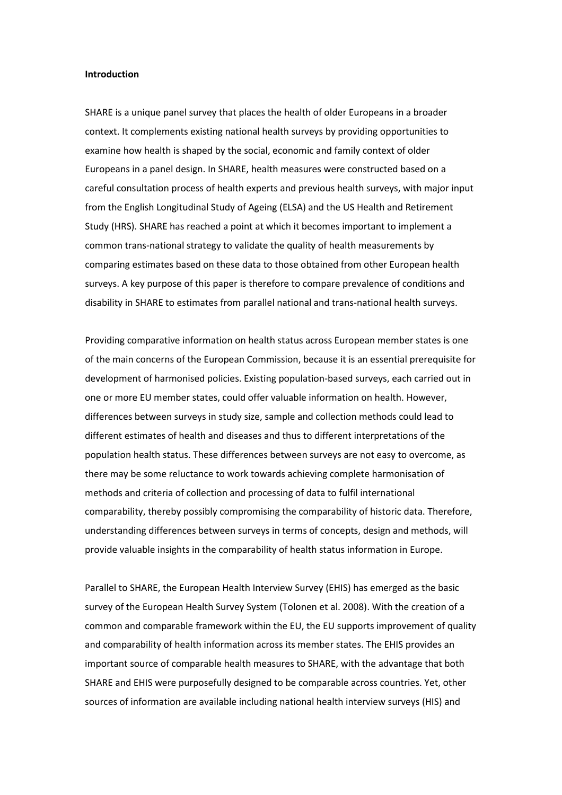#### **Introduction**

SHARE is a unique panel survey that places the health of older Europeans in a broader context. It complements existing national health surveys by providing opportunities to examine how health is shaped by the social, economic and family context of older Europeans in a panel design. In SHARE, health measures were constructed based on a careful consultation process of health experts and previous health surveys, with major input from the English Longitudinal Study of Ageing (ELSA) and the US Health and Retirement Study (HRS). SHARE has reached a point at which it becomes important to implement a common trans-national strategy to validate the quality of health measurements by comparing estimates based on these data to those obtained from other European health surveys. A key purpose of this paper is therefore to compare prevalence of conditions and disability in SHARE to estimates from parallel national and trans-national health surveys.

Providing comparative information on health status across European member states is one of the main concerns of the European Commission, because it is an essential prerequisite for development of harmonised policies. Existing population-based surveys, each carried out in one or more EU member states, could offer valuable information on health. However, differences between surveys in study size, sample and collection methods could lead to different estimates of health and diseases and thus to different interpretations of the population health status. These differences between surveys are not easy to overcome, as there may be some reluctance to work towards achieving complete harmonisation of methods and criteria of collection and processing of data to fulfil international comparability, thereby possibly compromising the comparability of historic data. Therefore, understanding differences between surveys in terms of concepts, design and methods, will provide valuable insights in the comparability of health status information in Europe.

Parallel to SHARE, the European Health Interview Survey (EHIS) has emerged as the basic survey of the European Health Survey System (Tolonen et al. 2008). With the creation of a common and comparable framework within the EU, the EU supports improvement of quality and comparability of health information across its member states. The EHIS provides an important source of comparable health measures to SHARE, with the advantage that both SHARE and EHIS were purposefully designed to be comparable across countries. Yet, other sources of information are available including national health interview surveys (HIS) and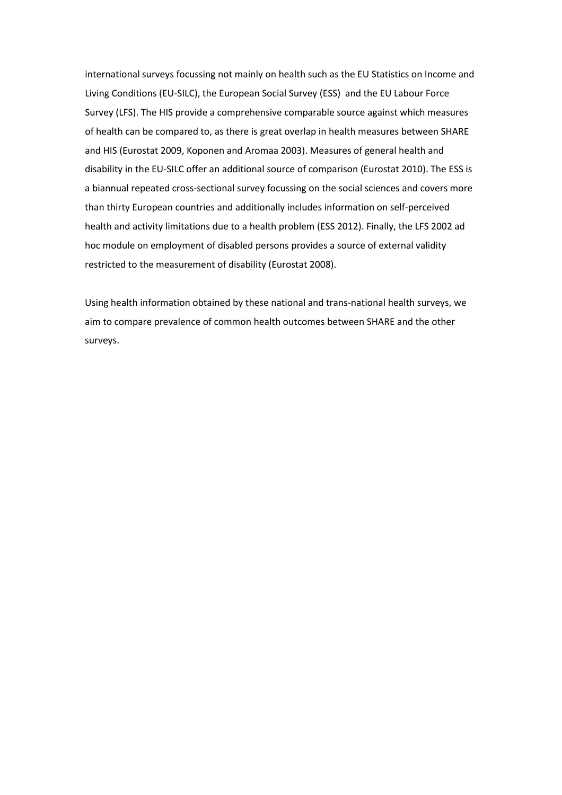international surveys focussing not mainly on health such as the EU Statistics on Income and Living Conditions (EU-SILC), the European Social Survey (ESS) and the EU Labour Force Survey (LFS). The HIS provide a comprehensive comparable source against which measures of health can be compared to, as there is great overlap in health measures between SHARE and HIS (Eurostat 2009, Koponen and Aromaa 2003). Measures of general health and disability in the EU-SILC offer an additional source of comparison (Eurostat 2010). The ESS is a biannual repeated cross-sectional survey focussing on the social sciences and covers more than thirty European countries and additionally includes information on self-perceived health and activity limitations due to a health problem (ESS 2012). Finally, the LFS 2002 ad hoc module on employment of disabled persons provides a source of external validity restricted to the measurement of disability (Eurostat 2008).

Using health information obtained by these national and trans-national health surveys, we aim to compare prevalence of common health outcomes between SHARE and the other surveys.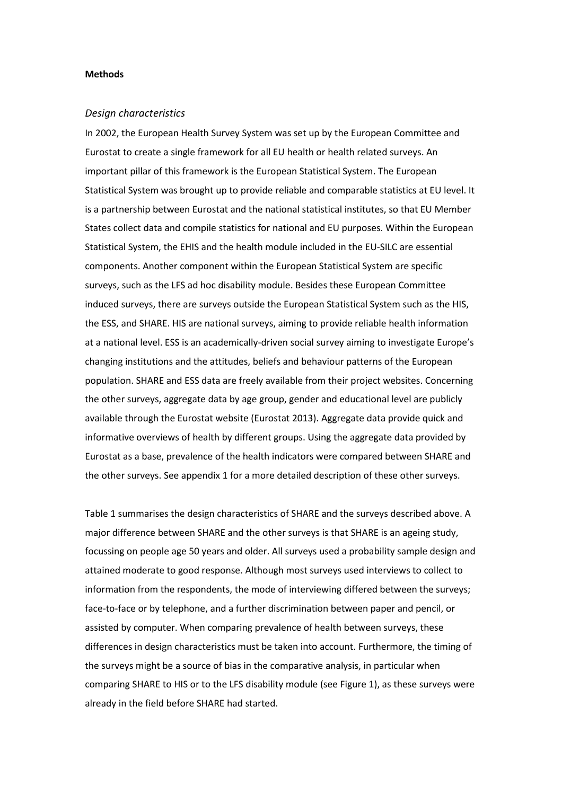#### **Methods**

#### *Design characteristics*

In 2002, the European Health Survey System was set up by the European Committee and Eurostat to create a single framework for all EU health or health related surveys. An important pillar of this framework is the European Statistical System. The European Statistical System was brought up to provide reliable and comparable statistics at EU level. It is a partnership between Eurostat and the national statistical institutes, so that EU Member States collect data and compile statistics for national and EU purposes. Within the European Statistical System, the EHIS and the health module included in the EU-SILC are essential components. Another component within the European Statistical System are specific surveys, such as the LFS ad hoc disability module. Besides these European Committee induced surveys, there are surveys outside the European Statistical System such as the HIS, the ESS, and SHARE. HIS are national surveys, aiming to provide reliable health information at a national level. ESS is an academically-driven social survey aiming to investigate Europe's changing institutions and the attitudes, beliefs and behaviour patterns of the European population. SHARE and ESS data are freely available from their project websites. Concerning the other surveys, aggregate data by age group, gender and educational level are publicly available through the Eurostat website (Eurostat 2013). Aggregate data provide quick and informative overviews of health by different groups. Using the aggregate data provided by Eurostat as a base, prevalence of the health indicators were compared between SHARE and the other surveys. See appendix 1 for a more detailed description of these other surveys.

Table 1 summarises the design characteristics of SHARE and the surveys described above. A major difference between SHARE and the other surveys is that SHARE is an ageing study, focussing on people age 50 years and older. All surveys used a probability sample design and attained moderate to good response. Although most surveys used interviews to collect to information from the respondents, the mode of interviewing differed between the surveys; face-to-face or by telephone, and a further discrimination between paper and pencil, or assisted by computer. When comparing prevalence of health between surveys, these differences in design characteristics must be taken into account. Furthermore, the timing of the surveys might be a source of bias in the comparative analysis, in particular when comparing SHARE to HIS or to the LFS disability module (see Figure 1), as these surveys were already in the field before SHARE had started.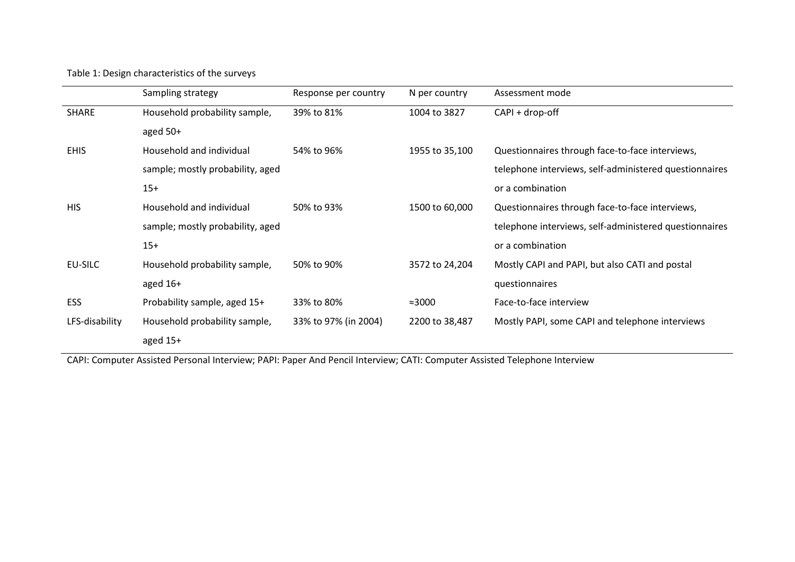Table 1: Design characteristics of the surveys

|                | Sampling strategy                | Response per country | N per country  | Assessment mode                                        |
|----------------|----------------------------------|----------------------|----------------|--------------------------------------------------------|
| <b>SHARE</b>   | Household probability sample,    | 39% to 81%           | 1004 to 3827   | CAPI + drop-off                                        |
|                | aged $50+$                       |                      |                |                                                        |
| <b>EHIS</b>    | Household and individual         | 54% to 96%           | 1955 to 35,100 | Questionnaires through face-to-face interviews,        |
|                | sample; mostly probability, aged |                      |                | telephone interviews, self-administered questionnaires |
|                | $15+$                            |                      |                | or a combination                                       |
| <b>HIS</b>     | Household and individual         | 50% to 93%           | 1500 to 60,000 | Questionnaires through face-to-face interviews,        |
|                | sample; mostly probability, aged |                      |                | telephone interviews, self-administered questionnaires |
|                | $15+$                            |                      |                | or a combination                                       |
| EU-SILC        | Household probability sample,    | 50% to 90%           | 3572 to 24,204 | Mostly CAPI and PAPI, but also CATI and postal         |
|                | aged $16+$                       |                      |                | questionnaires                                         |
| <b>ESS</b>     | Probability sample, aged 15+     | 33% to 80%           | $\approx 3000$ | Face-to-face interview                                 |
| LFS-disability | Household probability sample,    | 33% to 97% (in 2004) | 2200 to 38,487 | Mostly PAPI, some CAPI and telephone interviews        |
|                | aged $15+$                       |                      |                |                                                        |

CAPI: Computer Assisted Personal Interview; PAPI: Paper And Pencil Interview; CATI: Computer Assisted Telephone Interview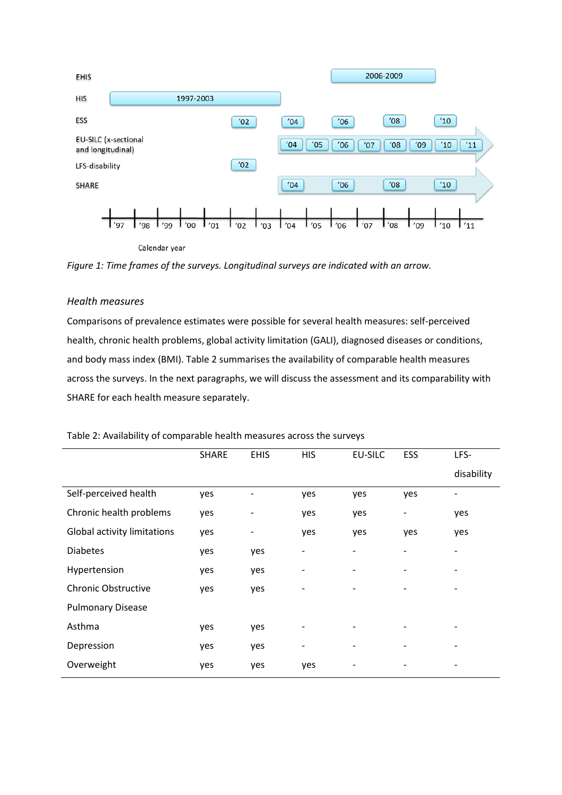

Calendar year

*Figure 1: Time frames of the surveys. Longitudinal surveys are indicated with an arrow.*

# *Health measures*

Comparisons of prevalence estimates were possible for several health measures: self-perceived health, chronic health problems, global activity limitation (GALI), diagnosed diseases or conditions, and body mass index (BMI). Table 2 summarises the availability of comparable health measures across the surveys. In the next paragraphs, we will discuss the assessment and its comparability with SHARE for each health measure separately.

|                             | <b>SHARE</b> | <b>EHIS</b> | <b>HIS</b>               | EU-SILC                      | ESS | LFS-                     |
|-----------------------------|--------------|-------------|--------------------------|------------------------------|-----|--------------------------|
|                             |              |             |                          |                              |     | disability               |
| Self-perceived health       | yes          | -           | yes                      | yes                          | yes | $\overline{\phantom{0}}$ |
| Chronic health problems     | yes          |             | yes                      | yes                          | -   | yes                      |
| Global activity limitations | yes          | -           | yes                      | yes                          | yes | yes                      |
| <b>Diabetes</b>             | yes          | yes         | $\overline{\phantom{a}}$ |                              |     | -                        |
| Hypertension                | yes          | yes         | $\overline{\phantom{a}}$ | $\qquad \qquad \blacksquare$ |     | -                        |
| <b>Chronic Obstructive</b>  | yes          | yes         | $\overline{\phantom{a}}$ |                              | -   | -                        |
| <b>Pulmonary Disease</b>    |              |             |                          |                              |     |                          |
| Asthma                      | yes          | yes         | $\overline{\phantom{a}}$ |                              |     |                          |
| Depression                  | yes          | yes         | $\overline{\phantom{a}}$ |                              |     |                          |
| Overweight                  | yes          | yes         | yes                      |                              |     |                          |
|                             |              |             |                          |                              |     |                          |

# Table 2: Availability of comparable health measures across the surveys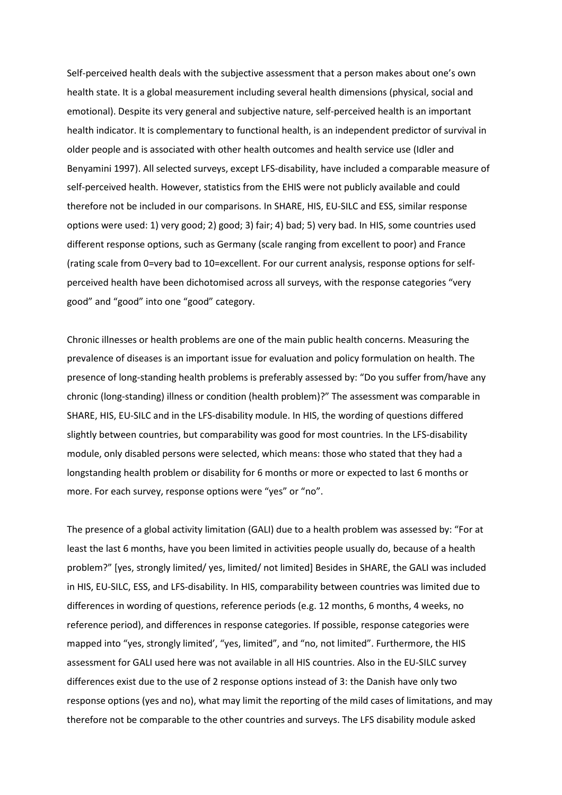Self-perceived health deals with the subjective assessment that a person makes about one's own health state. It is a global measurement including several health dimensions (physical, social and emotional). Despite its very general and subjective nature, self-perceived health is an important health indicator. It is complementary to functional health, is an independent predictor of survival in older people and is associated with other health outcomes and health service use (Idler and Benyamini 1997). All selected surveys, except LFS-disability, have included a comparable measure of self-perceived health. However, statistics from the EHIS were not publicly available and could therefore not be included in our comparisons. In SHARE, HIS, EU-SILC and ESS, similar response options were used: 1) very good; 2) good; 3) fair; 4) bad; 5) very bad. In HIS, some countries used different response options, such as Germany (scale ranging from excellent to poor) and France (rating scale from 0=very bad to 10=excellent. For our current analysis, response options for selfperceived health have been dichotomised across all surveys, with the response categories "very good" and "good" into one "good" category.

Chronic illnesses or health problems are one of the main public health concerns. Measuring the prevalence of diseases is an important issue for evaluation and policy formulation on health. The presence of long-standing health problems is preferably assessed by: "Do you suffer from/have any chronic (long-standing) illness or condition (health problem)?" The assessment was comparable in SHARE, HIS, EU-SILC and in the LFS-disability module. In HIS, the wording of questions differed slightly between countries, but comparability was good for most countries. In the LFS-disability module, only disabled persons were selected, which means: those who stated that they had a longstanding health problem or disability for 6 months or more or expected to last 6 months or more. For each survey, response options were "yes" or "no".

The presence of a global activity limitation (GALI) due to a health problem was assessed by: "For at least the last 6 months, have you been limited in activities people usually do, because of a health problem?" [yes, strongly limited/ yes, limited/ not limited] Besides in SHARE, the GALI was included in HIS, EU-SILC, ESS, and LFS-disability. In HIS, comparability between countries was limited due to differences in wording of questions, reference periods (e.g. 12 months, 6 months, 4 weeks, no reference period), and differences in response categories. If possible, response categories were mapped into "yes, strongly limited', "yes, limited", and "no, not limited". Furthermore, the HIS assessment for GALI used here was not available in all HIS countries. Also in the EU-SILC survey differences exist due to the use of 2 response options instead of 3: the Danish have only two response options (yes and no), what may limit the reporting of the mild cases of limitations, and may therefore not be comparable to the other countries and surveys. The LFS disability module asked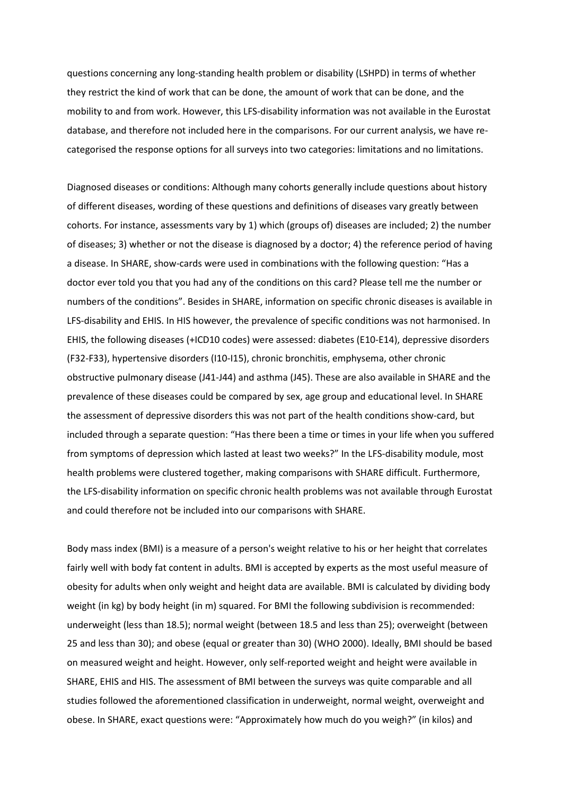questions concerning any long-standing health problem or disability (LSHPD) in terms of whether they restrict the kind of work that can be done, the amount of work that can be done, and the mobility to and from work. However, this LFS-disability information was not available in the Eurostat database, and therefore not included here in the comparisons. For our current analysis, we have recategorised the response options for all surveys into two categories: limitations and no limitations.

Diagnosed diseases or conditions: Although many cohorts generally include questions about history of different diseases, wording of these questions and definitions of diseases vary greatly between cohorts. For instance, assessments vary by 1) which (groups of) diseases are included; 2) the number of diseases; 3) whether or not the disease is diagnosed by a doctor; 4) the reference period of having a disease. In SHARE, show-cards were used in combinations with the following question: "Has a doctor ever told you that you had any of the conditions on this card? Please tell me the number or numbers of the conditions". Besides in SHARE, information on specific chronic diseases is available in LFS-disability and EHIS. In HIS however, the prevalence of specific conditions was not harmonised. In EHIS, the following diseases (+ICD10 codes) were assessed: diabetes (E10-E14), depressive disorders (F32-F33), hypertensive disorders (I10-I15), chronic bronchitis, emphysema, other chronic obstructive pulmonary disease (J41-J44) and asthma (J45). These are also available in SHARE and the prevalence of these diseases could be compared by sex, age group and educational level. In SHARE the assessment of depressive disorders this was not part of the health conditions show-card, but included through a separate question: "Has there been a time or times in your life when you suffered from symptoms of depression which lasted at least two weeks?" In the LFS-disability module, most health problems were clustered together, making comparisons with SHARE difficult. Furthermore, the LFS-disability information on specific chronic health problems was not available through Eurostat and could therefore not be included into our comparisons with SHARE.

Body mass index (BMI) is a measure of a person's weight relative to his or her height that correlates fairly well with body fat content in adults. BMI is accepted by experts as the most useful measure of obesity for adults when only weight and height data are available. BMI is calculated by dividing body weight (in kg) by body height (in m) squared. For BMI the following subdivision is recommended: underweight (less than 18.5); normal weight (between 18.5 and less than 25); overweight (between 25 and less than 30); and obese (equal or greater than 30) (WHO 2000). Ideally, BMI should be based on measured weight and height. However, only self-reported weight and height were available in SHARE, EHIS and HIS. The assessment of BMI between the surveys was quite comparable and all studies followed the aforementioned classification in underweight, normal weight, overweight and obese. In SHARE, exact questions were: "Approximately how much do you weigh?" (in kilos) and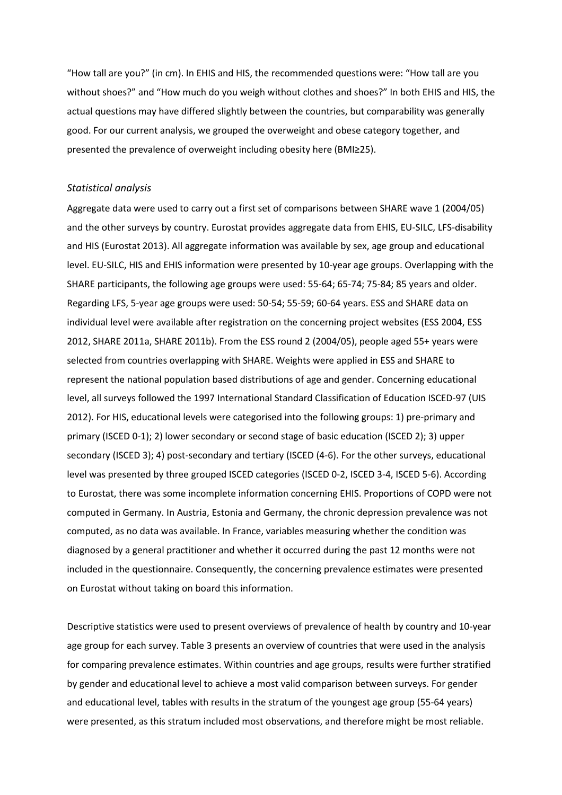"How tall are you?" (in cm). In EHIS and HIS, the recommended questions were: "How tall are you without shoes?" and "How much do you weigh without clothes and shoes?" In both EHIS and HIS, the actual questions may have differed slightly between the countries, but comparability was generally good. For our current analysis, we grouped the overweight and obese category together, and presented the prevalence of overweight including obesity here (BMI≥25).

#### *Statistical analysis*

Aggregate data were used to carry out a first set of comparisons between SHARE wave 1 (2004/05) and the other surveys by country. Eurostat provides aggregate data from EHIS, EU-SILC, LFS-disability and HIS (Eurostat 2013). All aggregate information was available by sex, age group and educational level. EU-SILC, HIS and EHIS information were presented by 10-year age groups. Overlapping with the SHARE participants, the following age groups were used: 55-64; 65-74; 75-84; 85 years and older. Regarding LFS, 5-year age groups were used: 50-54; 55-59; 60-64 years. ESS and SHARE data on individual level were available after registration on the concerning project websites (ESS 2004, ESS 2012, SHARE 2011a, SHARE 2011b). From the ESS round 2 (2004/05), people aged 55+ years were selected from countries overlapping with SHARE. Weights were applied in ESS and SHARE to represent the national population based distributions of age and gender. Concerning educational level, all surveys followed the 1997 International Standard Classification of Education ISCED-97 (UIS 2012). For HIS, educational levels were categorised into the following groups: 1) pre-primary and primary (ISCED 0-1); 2) lower secondary or second stage of basic education (ISCED 2); 3) upper secondary (ISCED 3); 4) post-secondary and tertiary (ISCED (4-6). For the other surveys, educational level was presented by three grouped ISCED categories (ISCED 0-2, ISCED 3-4, ISCED 5-6). According to Eurostat, there was some incomplete information concerning EHIS. Proportions of COPD were not computed in Germany. In Austria, Estonia and Germany, the chronic depression prevalence was not computed, as no data was available. In France, variables measuring whether the condition was diagnosed by a general practitioner and whether it occurred during the past 12 months were not included in the questionnaire. Consequently, the concerning prevalence estimates were presented on Eurostat without taking on board this information.

Descriptive statistics were used to present overviews of prevalence of health by country and 10-year age group for each survey. Table 3 presents an overview of countries that were used in the analysis for comparing prevalence estimates. Within countries and age groups, results were further stratified by gender and educational level to achieve a most valid comparison between surveys. For gender and educational level, tables with results in the stratum of the youngest age group (55-64 years) were presented, as this stratum included most observations, and therefore might be most reliable.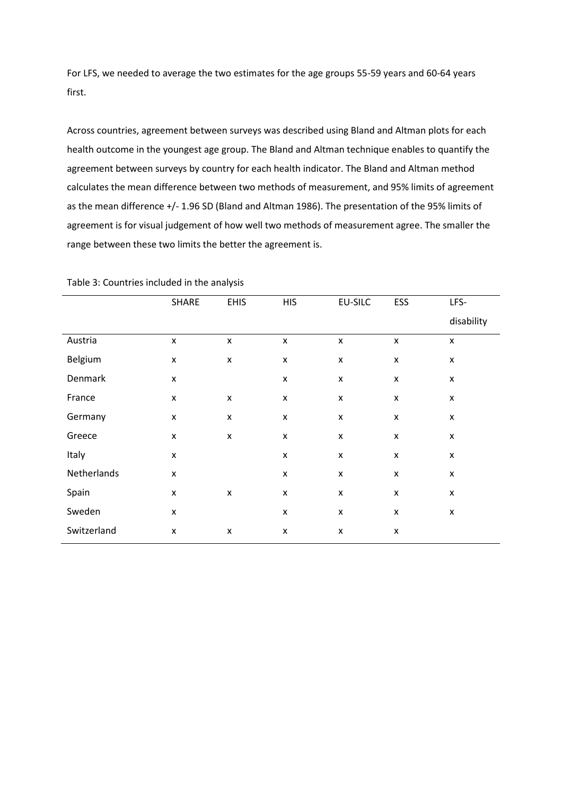For LFS, we needed to average the two estimates for the age groups 55-59 years and 60-64 years first.

Across countries, agreement between surveys was described using Bland and Altman plots for each health outcome in the youngest age group. The Bland and Altman technique enables to quantify the agreement between surveys by country for each health indicator. The Bland and Altman method calculates the mean difference between two methods of measurement, and 95% limits of agreement as the mean difference +/- 1.96 SD (Bland and Altman 1986). The presentation of the 95% limits of agreement is for visual judgement of how well two methods of measurement agree. The smaller the range between these two limits the better the agreement is.

|             | SHARE              | <b>EHIS</b>        | <b>HIS</b>         | <b>EU-SILC</b>     | ESS                | LFS-               |
|-------------|--------------------|--------------------|--------------------|--------------------|--------------------|--------------------|
|             |                    |                    |                    |                    |                    | disability         |
| Austria     | $\pmb{\mathsf{x}}$ | $\pmb{\mathsf{x}}$ | $\pmb{\times}$     | $\pmb{\mathsf{x}}$ | $\pmb{\times}$     | $\pmb{\times}$     |
| Belgium     | $\pmb{\mathsf{x}}$ | $\pmb{\mathsf{x}}$ | $\pmb{\mathsf{x}}$ | X                  | $\pmb{\times}$     | $\pmb{\times}$     |
| Denmark     | X                  |                    | X                  | $\pmb{\mathsf{x}}$ | $\pmb{\mathsf{x}}$ | $\pmb{\times}$     |
| France      | $\pmb{\mathsf{x}}$ | $\pmb{\mathsf{X}}$ | $\pmb{\mathsf{x}}$ | $\pmb{\mathsf{x}}$ | X                  | $\pmb{\mathsf{X}}$ |
| Germany     | $\pmb{\mathsf{x}}$ | $\pmb{\mathsf{X}}$ | $\pmb{\mathsf{X}}$ | $\pmb{\mathsf{x}}$ | $\pmb{\mathsf{x}}$ | $\pmb{\mathsf{X}}$ |
| Greece      | $\pmb{\mathsf{X}}$ | $\pmb{\mathsf{x}}$ | $\pmb{\mathsf{x}}$ | $\pmb{\mathsf{x}}$ | $\pmb{\mathsf{x}}$ | $\pmb{\times}$     |
| Italy       | X                  |                    | $\pmb{\mathsf{x}}$ | $\pmb{\times}$     | $\pmb{\times}$     | $\pmb{\times}$     |
| Netherlands | X                  |                    | X                  | X                  | X                  | X                  |
| Spain       | X                  | $\pmb{\mathsf{X}}$ | X                  | $\pmb{\mathsf{x}}$ | X                  | X                  |
| Sweden      | X                  |                    | X                  | $\pmb{\mathsf{x}}$ | X                  | X                  |
| Switzerland | $\pmb{\mathsf{X}}$ | $\pmb{\mathsf{X}}$ | X                  | $\pmb{\mathsf{x}}$ | X                  |                    |
|             |                    |                    |                    |                    |                    |                    |

Table 3: Countries included in the analysis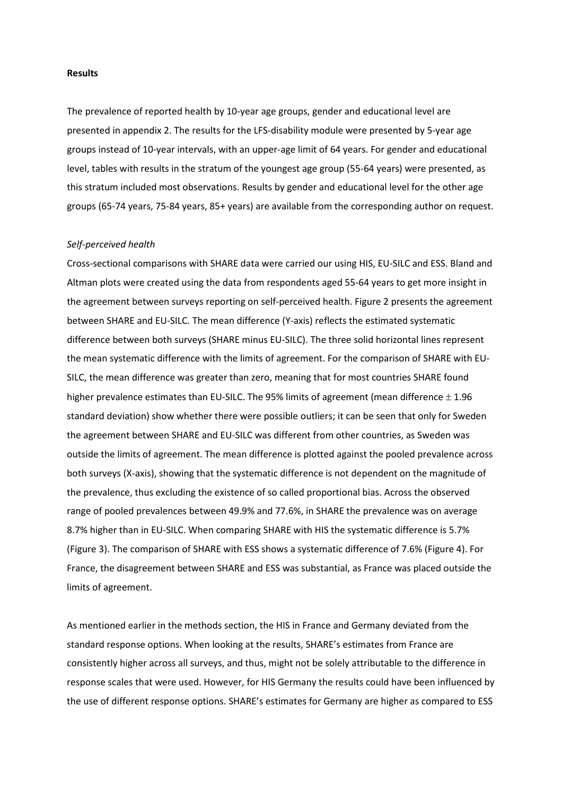#### **Results**

The prevalence of reported health by 10-year age groups, gender and educational level are presented in appendix 2. The results for the LFS-disability module were presented by 5-year age groups instead of 10-year intervals, with an upper-age limit of 64 years. For gender and educational level, tables with results in the stratum of the youngest age group (55-64 years) were presented, as this stratum included most observations. Results by gender and educational level for the other age groups (65-74 years, 75-84 years, 85+ years) are available from the corresponding author on request.

### *Self-perceived health*

Cross-sectional comparisons with SHARE data were carried our using HIS, EU-SILC and ESS. Bland and Altman plots were created using the data from respondents aged 55-64 years to get more insight in the agreement between surveys reporting on self-perceived health. Figure 2 presents the agreement between SHARE and EU-SILC. The mean difference (Y-axis) reflects the estimated systematic difference between both surveys (SHARE minus EU-SILC). The three solid horizontal lines represent the mean systematic difference with the limits of agreement. For the comparison of SHARE with EU-SILC, the mean difference was greater than zero, meaning that for most countries SHARE found higher prevalence estimates than EU-SILC. The 95% limits of agreement (mean difference  $\pm$  1.96 standard deviation) show whether there were possible outliers; it can be seen that only for Sweden the agreement between SHARE and EU-SILC was different from other countries, as Sweden was outside the limits of agreement. The mean difference is plotted against the pooled prevalence across both surveys (X-axis), showing that the systematic difference is not dependent on the magnitude of the prevalence, thus excluding the existence of so called proportional bias. Across the observed range of pooled prevalences between 49.9% and 77.6%, in SHARE the prevalence was on average 8.7% higher than in EU-SILC. When comparing SHARE with HIS the systematic difference is 5.7% (Figure 3). The comparison of SHARE with ESS shows a systematic difference of 7.6% (Figure 4). For France, the disagreement between SHARE and ESS was substantial, as France was placed outside the limits of agreement.

As mentioned earlier in the methods section, the HIS in France and Germany deviated from the standard response options. When looking at the results, SHARE's estimates from France are consistently higher across all surveys, and thus, might not be solely attributable to the difference in response scales that were used. However, for HIS Germany the results could have been influenced by the use of different response options. SHARE's estimates for Germany are higher as compared to ESS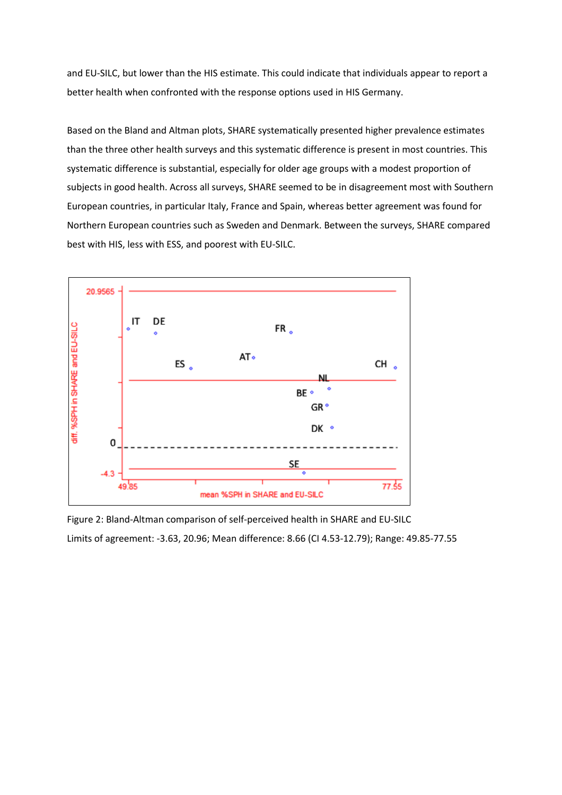and EU-SILC, but lower than the HIS estimate. This could indicate that individuals appear to report a better health when confronted with the response options used in HIS Germany.

Based on the Bland and Altman plots, SHARE systematically presented higher prevalence estimates than the three other health surveys and this systematic difference is present in most countries. This systematic difference is substantial, especially for older age groups with a modest proportion of subjects in good health. Across all surveys, SHARE seemed to be in disagreement most with Southern European countries, in particular Italy, France and Spain, whereas better agreement was found for Northern European countries such as Sweden and Denmark. Between the surveys, SHARE compared best with HIS, less with ESS, and poorest with EU-SILC.



Figure 2: Bland-Altman comparison of self-perceived health in SHARE and EU-SILC Limits of agreement: -3.63, 20.96; Mean difference: 8.66 (CI 4.53-12.79); Range: 49.85-77.55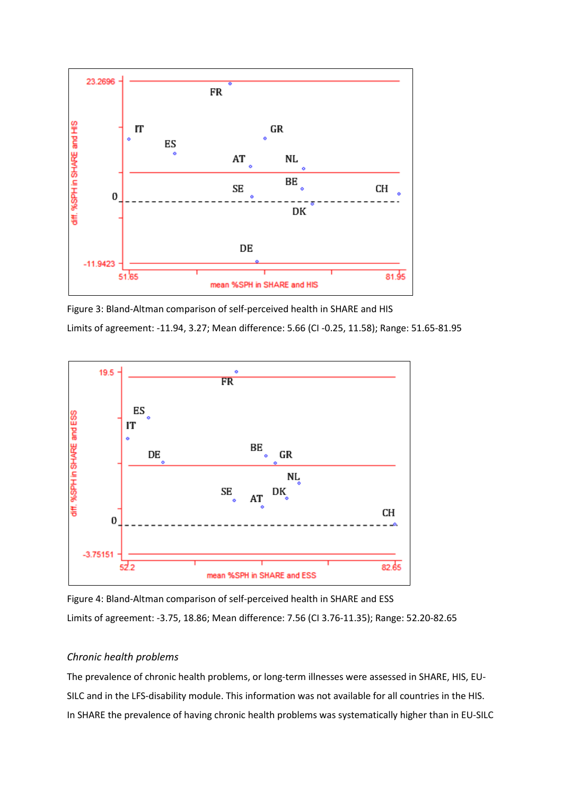

Figure 3: Bland-Altman comparison of self-perceived health in SHARE and HIS Limits of agreement: -11.94, 3.27; Mean difference: 5.66 (CI -0.25, 11.58); Range: 51.65-81.95



Figure 4: Bland-Altman comparison of self-perceived health in SHARE and ESS Limits of agreement: -3.75, 18.86; Mean difference: 7.56 (CI 3.76-11.35); Range: 52.20-82.65

# *Chronic health problems*

The prevalence of chronic health problems, or long-term illnesses were assessed in SHARE, HIS, EU-SILC and in the LFS-disability module. This information was not available for all countries in the HIS. In SHARE the prevalence of having chronic health problems was systematically higher than in EU-SILC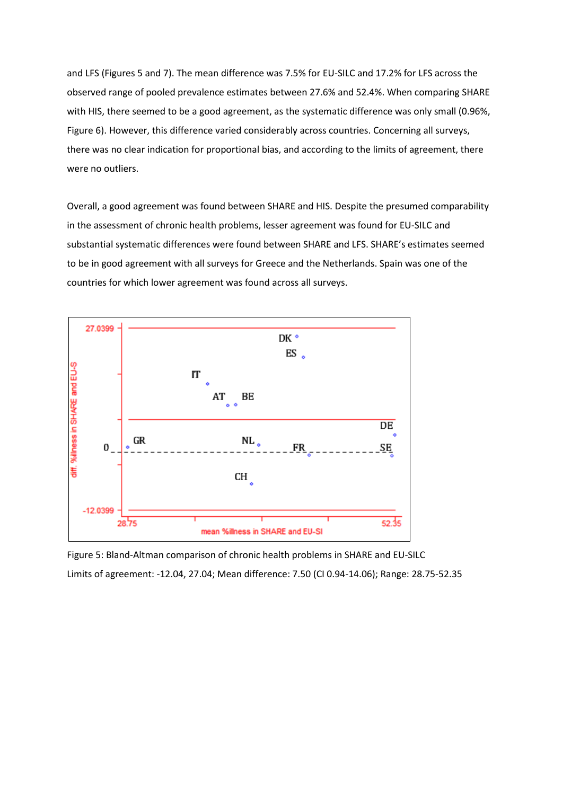and LFS (Figures 5 and 7). The mean difference was 7.5% for EU-SILC and 17.2% for LFS across the observed range of pooled prevalence estimates between 27.6% and 52.4%. When comparing SHARE with HIS, there seemed to be a good agreement, as the systematic difference was only small (0.96%, Figure 6). However, this difference varied considerably across countries. Concerning all surveys, there was no clear indication for proportional bias, and according to the limits of agreement, there were no outliers.

Overall, a good agreement was found between SHARE and HIS. Despite the presumed comparability in the assessment of chronic health problems, lesser agreement was found for EU-SILC and substantial systematic differences were found between SHARE and LFS. SHARE's estimates seemed to be in good agreement with all surveys for Greece and the Netherlands. Spain was one of the countries for which lower agreement was found across all surveys.



Figure 5: Bland-Altman comparison of chronic health problems in SHARE and EU-SILC Limits of agreement: -12.04, 27.04; Mean difference: 7.50 (CI 0.94-14.06); Range: 28.75-52.35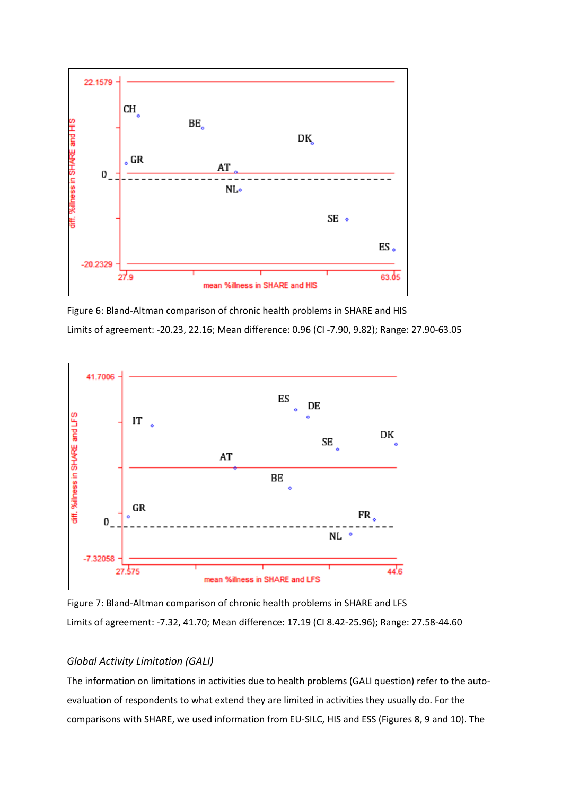

Figure 6: Bland-Altman comparison of chronic health problems in SHARE and HIS Limits of agreement: -20.23, 22.16; Mean difference: 0.96 (CI -7.90, 9.82); Range: 27.90-63.05



Figure 7: Bland-Altman comparison of chronic health problems in SHARE and LFS Limits of agreement: -7.32, 41.70; Mean difference: 17.19 (CI 8.42-25.96); Range: 27.58-44.60

# *Global Activity Limitation (GALI)*

The information on limitations in activities due to health problems (GALI question) refer to the autoevaluation of respondents to what extend they are limited in activities they usually do. For the comparisons with SHARE, we used information from EU-SILC, HIS and ESS (Figures 8, 9 and 10). The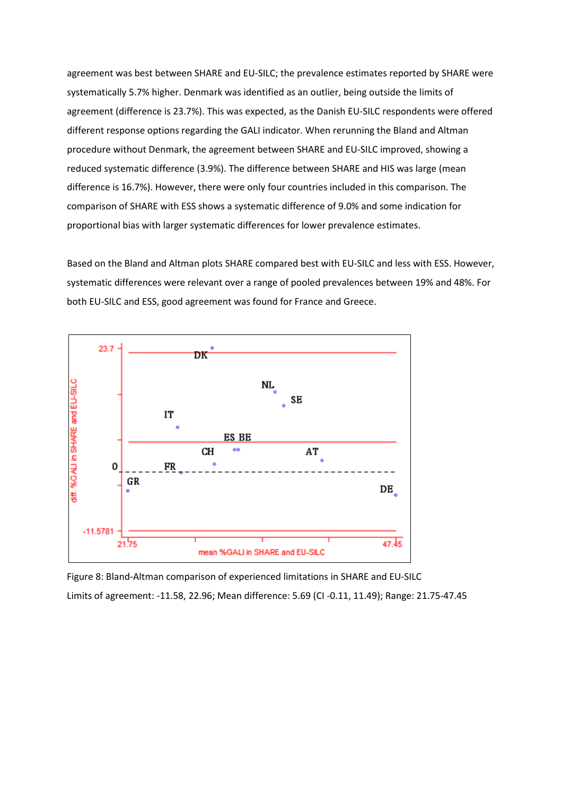agreement was best between SHARE and EU-SILC; the prevalence estimates reported by SHARE were systematically 5.7% higher. Denmark was identified as an outlier, being outside the limits of agreement (difference is 23.7%). This was expected, as the Danish EU-SILC respondents were offered different response options regarding the GALI indicator. When rerunning the Bland and Altman procedure without Denmark, the agreement between SHARE and EU-SILC improved, showing a reduced systematic difference (3.9%). The difference between SHARE and HIS was large (mean difference is 16.7%). However, there were only four countries included in this comparison. The comparison of SHARE with ESS shows a systematic difference of 9.0% and some indication for proportional bias with larger systematic differences for lower prevalence estimates.

Based on the Bland and Altman plots SHARE compared best with EU-SILC and less with ESS. However, systematic differences were relevant over a range of pooled prevalences between 19% and 48%. For both EU-SILC and ESS, good agreement was found for France and Greece.



Figure 8: Bland-Altman comparison of experienced limitations in SHARE and EU-SILC Limits of agreement: -11.58, 22.96; Mean difference: 5.69 (CI -0.11, 11.49); Range: 21.75-47.45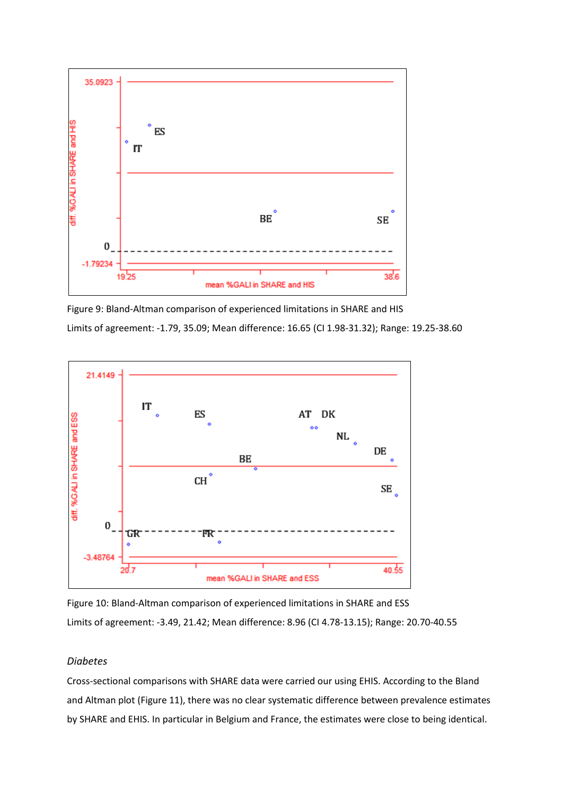

Figure 9: Bland-Altman comparison of experienced limitations in SHARE and HIS Limits of agreement: -1.79, 35.09; Mean difference: 16.65 (CI 1.98-31.32); Range: 19.25-38.60



Figure 10: Bland-Altman comparison of experienced limitations in SHARE and ESS Limits of agreement: -3.49, 21.42; Mean difference: 8.96 (CI 4.78-13.15); Range: 20.70-40.55

# *Diabetes*

Cross-sectional comparisons with SHARE data were carried our using EHIS. According to the Bland and Altman plot (Figure 11), there was no clear systematic difference between prevalence estimates by SHARE and EHIS. In particular in Belgium and France, the estimates were close to being identical.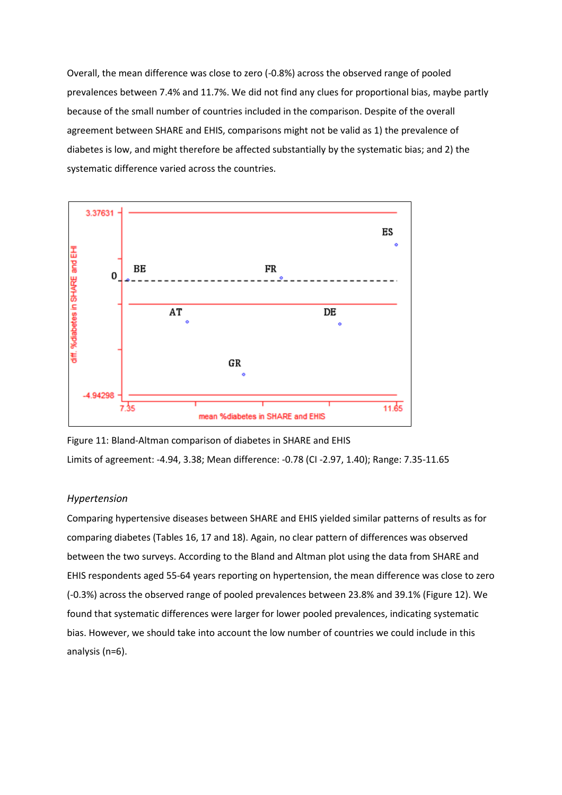Overall, the mean difference was close to zero (-0.8%) across the observed range of pooled prevalences between 7.4% and 11.7%. We did not find any clues for proportional bias, maybe partly because of the small number of countries included in the comparison. Despite of the overall agreement between SHARE and EHIS, comparisons might not be valid as 1) the prevalence of diabetes is low, and might therefore be affected substantially by the systematic bias; and 2) the systematic difference varied across the countries.



Figure 11: Bland-Altman comparison of diabetes in SHARE and EHIS Limits of agreement: -4.94, 3.38; Mean difference: -0.78 (CI -2.97, 1.40); Range: 7.35-11.65

# *Hypertension*

Comparing hypertensive diseases between SHARE and EHIS yielded similar patterns of results as for comparing diabetes (Tables 16, 17 and 18). Again, no clear pattern of differences was observed between the two surveys. According to the Bland and Altman plot using the data from SHARE and EHIS respondents aged 55-64 years reporting on hypertension, the mean difference was close to zero (-0.3%) across the observed range of pooled prevalences between 23.8% and 39.1% (Figure 12). We found that systematic differences were larger for lower pooled prevalences, indicating systematic bias. However, we should take into account the low number of countries we could include in this analysis (n=6).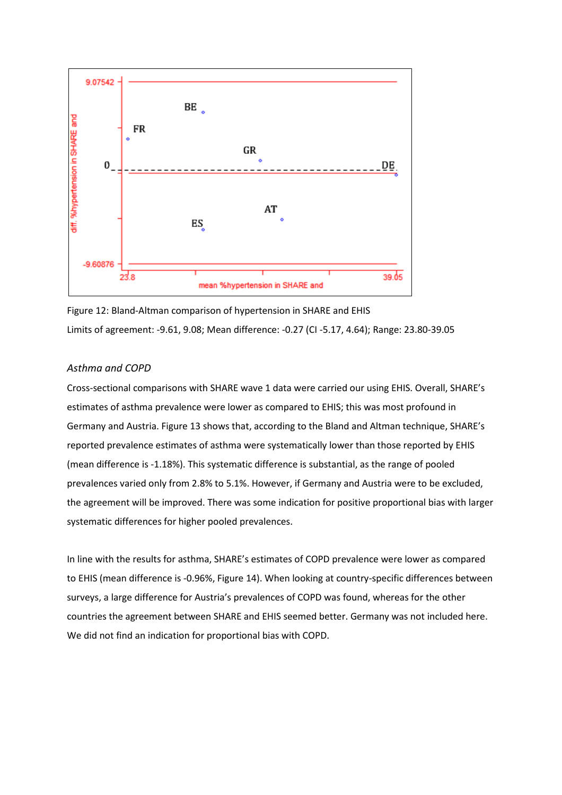

Figure 12: Bland-Altman comparison of hypertension in SHARE and EHIS Limits of agreement: -9.61, 9.08; Mean difference: -0.27 (CI -5.17, 4.64); Range: 23.80-39.05

# *Asthma and COPD*

Cross-sectional comparisons with SHARE wave 1 data were carried our using EHIS. Overall, SHARE's estimates of asthma prevalence were lower as compared to EHIS; this was most profound in Germany and Austria. Figure 13 shows that, according to the Bland and Altman technique, SHARE's reported prevalence estimates of asthma were systematically lower than those reported by EHIS (mean difference is -1.18%). This systematic difference is substantial, as the range of pooled prevalences varied only from 2.8% to 5.1%. However, if Germany and Austria were to be excluded, the agreement will be improved. There was some indication for positive proportional bias with larger systematic differences for higher pooled prevalences.

In line with the results for asthma, SHARE's estimates of COPD prevalence were lower as compared to EHIS (mean difference is -0.96%, Figure 14). When looking at country-specific differences between surveys, a large difference for Austria's prevalences of COPD was found, whereas for the other countries the agreement between SHARE and EHIS seemed better. Germany was not included here. We did not find an indication for proportional bias with COPD.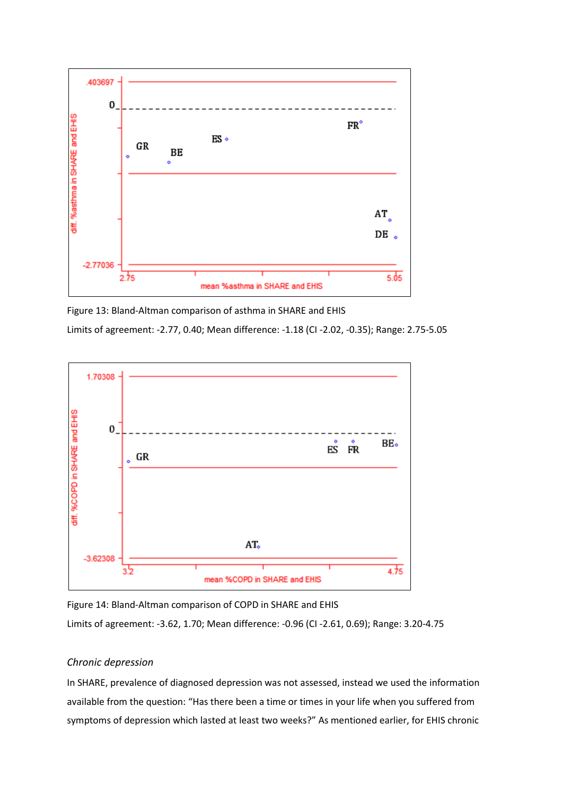

Figure 13: Bland-Altman comparison of asthma in SHARE and EHIS

Limits of agreement: -2.77, 0.40; Mean difference: -1.18 (CI -2.02, -0.35); Range: 2.75-5.05



Figure 14: Bland-Altman comparison of COPD in SHARE and EHIS

Limits of agreement: -3.62, 1.70; Mean difference: -0.96 (CI -2.61, 0.69); Range: 3.20-4.75

# *Chronic depression*

In SHARE, prevalence of diagnosed depression was not assessed, instead we used the information available from the question: "Has there been a time or times in your life when you suffered from symptoms of depression which lasted at least two weeks?" As mentioned earlier, for EHIS chronic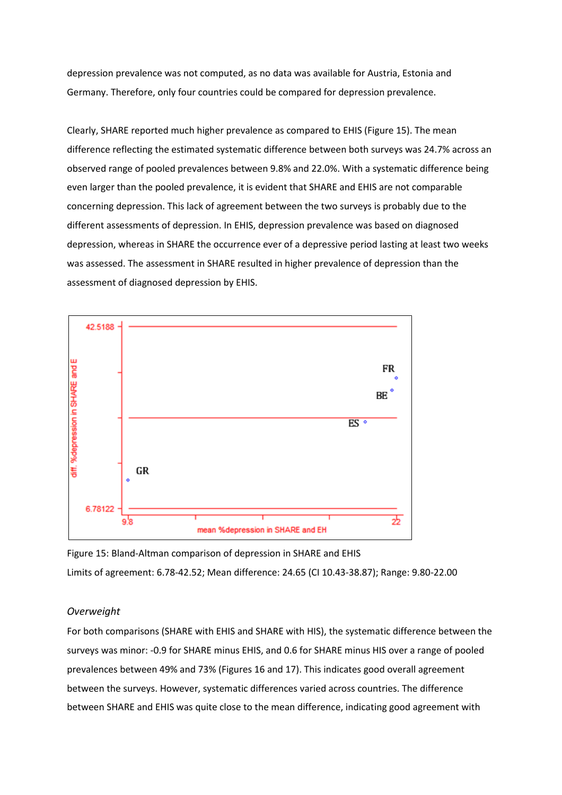depression prevalence was not computed, as no data was available for Austria, Estonia and Germany. Therefore, only four countries could be compared for depression prevalence.

Clearly, SHARE reported much higher prevalence as compared to EHIS (Figure 15). The mean difference reflecting the estimated systematic difference between both surveys was 24.7% across an observed range of pooled prevalences between 9.8% and 22.0%. With a systematic difference being even larger than the pooled prevalence, it is evident that SHARE and EHIS are not comparable concerning depression. This lack of agreement between the two surveys is probably due to the different assessments of depression. In EHIS, depression prevalence was based on diagnosed depression, whereas in SHARE the occurrence ever of a depressive period lasting at least two weeks was assessed. The assessment in SHARE resulted in higher prevalence of depression than the assessment of diagnosed depression by EHIS.



Figure 15: Bland-Altman comparison of depression in SHARE and EHIS Limits of agreement: 6.78-42.52; Mean difference: 24.65 (CI 10.43-38.87); Range: 9.80-22.00

# *Overweight*

For both comparisons (SHARE with EHIS and SHARE with HIS), the systematic difference between the surveys was minor: -0.9 for SHARE minus EHIS, and 0.6 for SHARE minus HIS over a range of pooled prevalences between 49% and 73% (Figures 16 and 17). This indicates good overall agreement between the surveys. However, systematic differences varied across countries. The difference between SHARE and EHIS was quite close to the mean difference, indicating good agreement with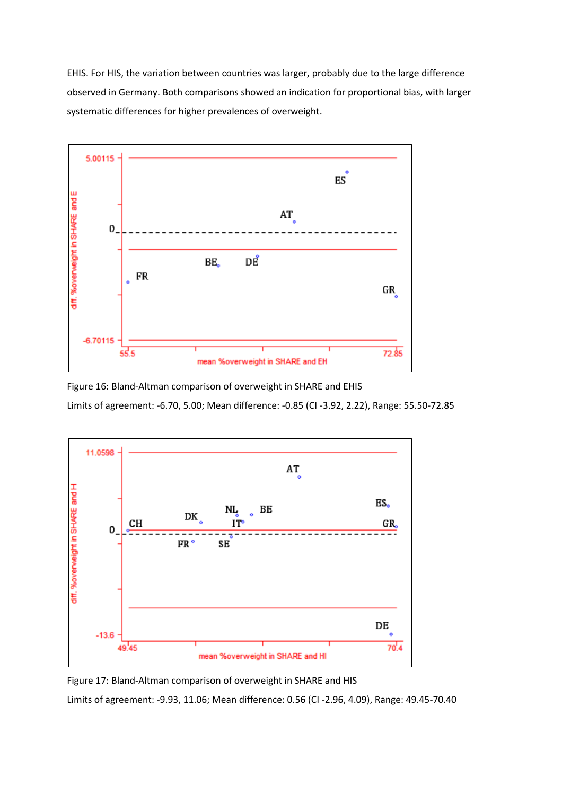EHIS. For HIS, the variation between countries was larger, probably due to the large difference observed in Germany. Both comparisons showed an indication for proportional bias, with larger systematic differences for higher prevalences of overweight.



Figure 16: Bland-Altman comparison of overweight in SHARE and EHIS

Limits of agreement: -6.70, 5.00; Mean difference: -0.85 (CI -3.92, 2.22), Range: 55.50-72.85



Figure 17: Bland-Altman comparison of overweight in SHARE and HIS

Limits of agreement: -9.93, 11.06; Mean difference: 0.56 (CI -2.96, 4.09), Range: 49.45-70.40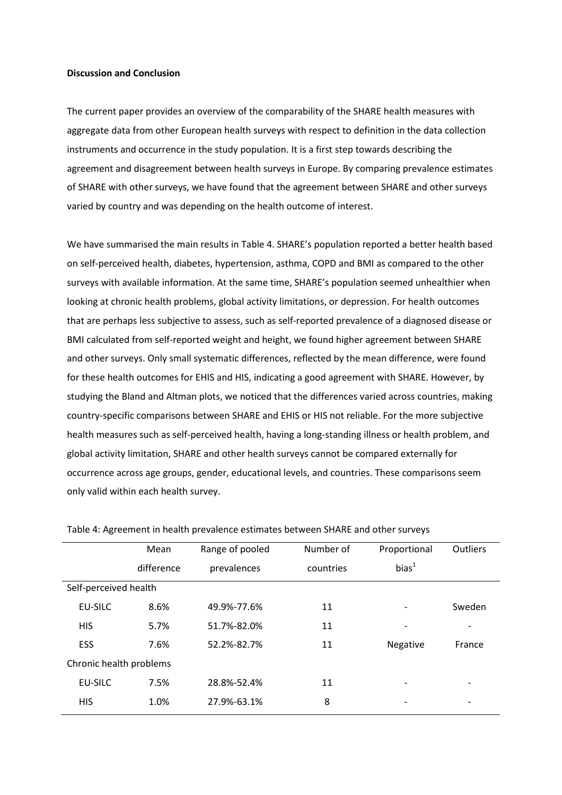#### **Discussion and Conclusion**

The current paper provides an overview of the comparability of the SHARE health measures with aggregate data from other European health surveys with respect to definition in the data collection instruments and occurrence in the study population. It is a first step towards describing the agreement and disagreement between health surveys in Europe. By comparing prevalence estimates of SHARE with other surveys, we have found that the agreement between SHARE and other surveys varied by country and was depending on the health outcome of interest.

We have summarised the main results in Table 4. SHARE's population reported a better health based on self-perceived health, diabetes, hypertension, asthma, COPD and BMI as compared to the other surveys with available information. At the same time, SHARE's population seemed unhealthier when looking at chronic health problems, global activity limitations, or depression. For health outcomes that are perhaps less subjective to assess, such as self-reported prevalence of a diagnosed disease or BMI calculated from self-reported weight and height, we found higher agreement between SHARE and other surveys. Only small systematic differences, reflected by the mean difference, were found for these health outcomes for EHIS and HIS, indicating a good agreement with SHARE. However, by studying the Bland and Altman plots, we noticed that the differences varied across countries, making country-specific comparisons between SHARE and EHIS or HIS not reliable. For the more subjective health measures such as self-perceived health, having a long-standing illness or health problem, and global activity limitation, SHARE and other health surveys cannot be compared externally for occurrence across age groups, gender, educational levels, and countries. These comparisons seem only valid within each health survey.

|                         | Mean       | Range of pooled | Number of | Proportional             | <b>Outliers</b>          |
|-------------------------|------------|-----------------|-----------|--------------------------|--------------------------|
|                         | difference | prevalences     | countries | bias <sup>1</sup>        |                          |
| Self-perceived health   |            |                 |           |                          |                          |
| <b>EU-SILC</b>          | 8.6%       | 49.9%-77.6%     | 11        |                          | Sweden                   |
| <b>HIS</b>              | 5.7%       | 51.7%-82.0%     | 11        | $\overline{\phantom{a}}$ | $\overline{\phantom{a}}$ |
| ESS                     | 7.6%       | 52.2%-82.7%     | 11        | Negative                 | France                   |
| Chronic health problems |            |                 |           |                          |                          |
| EU-SILC                 | 7.5%       | 28.8%-52.4%     | 11        |                          | $\overline{\phantom{a}}$ |
| <b>HIS</b>              | 1.0%       | 27.9%-63.1%     | 8         |                          | $\overline{\phantom{0}}$ |
|                         |            |                 |           |                          |                          |

Table 4: Agreement in health prevalence estimates between SHARE and other surveys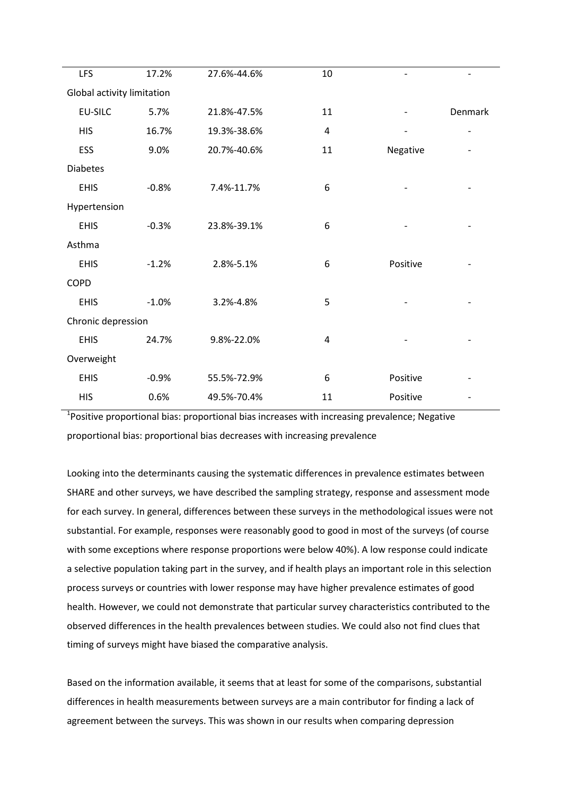| <b>LFS</b>                 | 17.2%   | 27.6%-44.6% | 10 |                |         |
|----------------------------|---------|-------------|----|----------------|---------|
| Global activity limitation |         |             |    |                |         |
| <b>EU-SILC</b>             | 5.7%    | 21.8%-47.5% | 11 |                | Denmark |
| <b>HIS</b>                 | 16.7%   | 19.3%-38.6% | 4  | $\overline{a}$ | -       |
| ESS                        | 9.0%    | 20.7%-40.6% | 11 | Negative       |         |
| <b>Diabetes</b>            |         |             |    |                |         |
| <b>EHIS</b>                | $-0.8%$ | 7.4%-11.7%  | 6  |                |         |
| Hypertension               |         |             |    |                |         |
| <b>EHIS</b>                | $-0.3%$ | 23.8%-39.1% | 6  |                |         |
| Asthma                     |         |             |    |                |         |
| <b>EHIS</b>                | $-1.2%$ | 2.8%-5.1%   | 6  | Positive       |         |
| <b>COPD</b>                |         |             |    |                |         |
| <b>EHIS</b>                | $-1.0%$ | 3.2%-4.8%   | 5  |                |         |
| Chronic depression         |         |             |    |                |         |
| <b>EHIS</b>                | 24.7%   | 9.8%-22.0%  | 4  |                |         |
| Overweight                 |         |             |    |                |         |
| <b>EHIS</b>                | $-0.9%$ | 55.5%-72.9% | 6  | Positive       |         |
| <b>HIS</b>                 | 0.6%    | 49.5%-70.4% | 11 | Positive       |         |
|                            |         |             |    |                |         |

<sup>1</sup>Positive proportional bias: proportional bias increases with increasing prevalence; Negative proportional bias: proportional bias decreases with increasing prevalence

Looking into the determinants causing the systematic differences in prevalence estimates between SHARE and other surveys, we have described the sampling strategy, response and assessment mode for each survey. In general, differences between these surveys in the methodological issues were not substantial. For example, responses were reasonably good to good in most of the surveys (of course with some exceptions where response proportions were below 40%). A low response could indicate a selective population taking part in the survey, and if health plays an important role in this selection process surveys or countries with lower response may have higher prevalence estimates of good health. However, we could not demonstrate that particular survey characteristics contributed to the observed differences in the health prevalences between studies. We could also not find clues that timing of surveys might have biased the comparative analysis.

Based on the information available, it seems that at least for some of the comparisons, substantial differences in health measurements between surveys are a main contributor for finding a lack of agreement between the surveys. This was shown in our results when comparing depression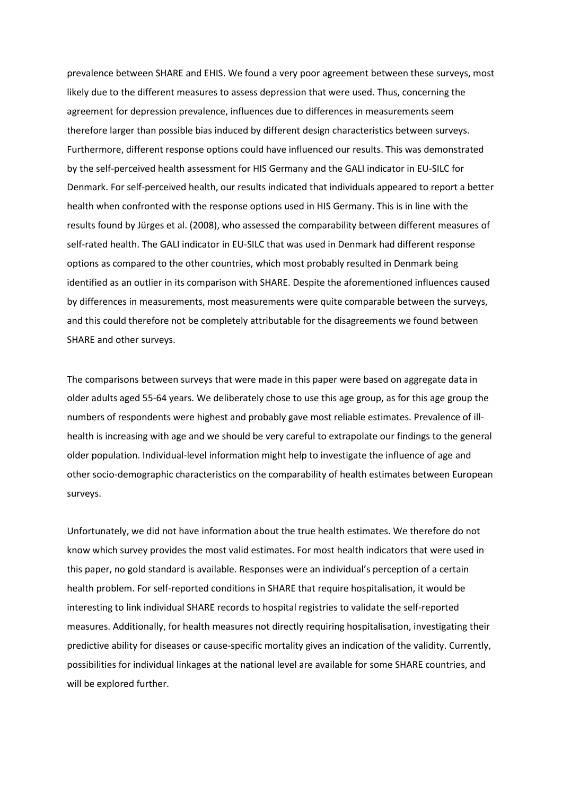prevalence between SHARE and EHIS. We found a very poor agreement between these surveys, most likely due to the different measures to assess depression that were used. Thus, concerning the agreement for depression prevalence, influences due to differences in measurements seem therefore larger than possible bias induced by different design characteristics between surveys. Furthermore, different response options could have influenced our results. This was demonstrated by the self-perceived health assessment for HIS Germany and the GALI indicator in EU-SILC for Denmark. For self-perceived health, our results indicated that individuals appeared to report a better health when confronted with the response options used in HIS Germany. This is in line with the results found by Jürges et al. (2008), who assessed the comparability between different measures of self-rated health. The GALI indicator in EU-SILC that was used in Denmark had different response options as compared to the other countries, which most probably resulted in Denmark being identified as an outlier in its comparison with SHARE. Despite the aforementioned influences caused by differences in measurements, most measurements were quite comparable between the surveys, and this could therefore not be completely attributable for the disagreements we found between SHARE and other surveys.

The comparisons between surveys that were made in this paper were based on aggregate data in older adults aged 55-64 years. We deliberately chose to use this age group, as for this age group the numbers of respondents were highest and probably gave most reliable estimates. Prevalence of illhealth is increasing with age and we should be very careful to extrapolate our findings to the general older population. Individual-level information might help to investigate the influence of age and other socio-demographic characteristics on the comparability of health estimates between European surveys.

Unfortunately, we did not have information about the true health estimates. We therefore do not know which survey provides the most valid estimates. For most health indicators that were used in this paper, no gold standard is available. Responses were an individual's perception of a certain health problem. For self-reported conditions in SHARE that require hospitalisation, it would be interesting to link individual SHARE records to hospital registries to validate the self-reported measures. Additionally, for health measures not directly requiring hospitalisation, investigating their predictive ability for diseases or cause-specific mortality gives an indication of the validity. Currently, possibilities for individual linkages at the national level are available for some SHARE countries, and will be explored further.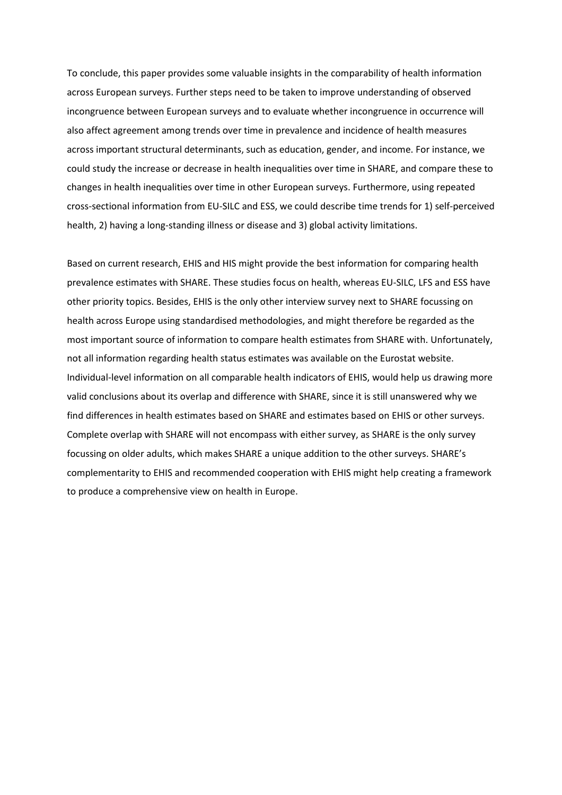To conclude, this paper provides some valuable insights in the comparability of health information across European surveys. Further steps need to be taken to improve understanding of observed incongruence between European surveys and to evaluate whether incongruence in occurrence will also affect agreement among trends over time in prevalence and incidence of health measures across important structural determinants, such as education, gender, and income. For instance, we could study the increase or decrease in health inequalities over time in SHARE, and compare these to changes in health inequalities over time in other European surveys. Furthermore, using repeated cross-sectional information from EU-SILC and ESS, we could describe time trends for 1) self-perceived health, 2) having a long-standing illness or disease and 3) global activity limitations.

Based on current research, EHIS and HIS might provide the best information for comparing health prevalence estimates with SHARE. These studies focus on health, whereas EU-SILC, LFS and ESS have other priority topics. Besides, EHIS is the only other interview survey next to SHARE focussing on health across Europe using standardised methodologies, and might therefore be regarded as the most important source of information to compare health estimates from SHARE with. Unfortunately, not all information regarding health status estimates was available on the Eurostat website. Individual-level information on all comparable health indicators of EHIS, would help us drawing more valid conclusions about its overlap and difference with SHARE, since it is still unanswered why we find differences in health estimates based on SHARE and estimates based on EHIS or other surveys. Complete overlap with SHARE will not encompass with either survey, as SHARE is the only survey focussing on older adults, which makes SHARE a unique addition to the other surveys. SHARE's complementarity to EHIS and recommended cooperation with EHIS might help creating a framework to produce a comprehensive view on health in Europe.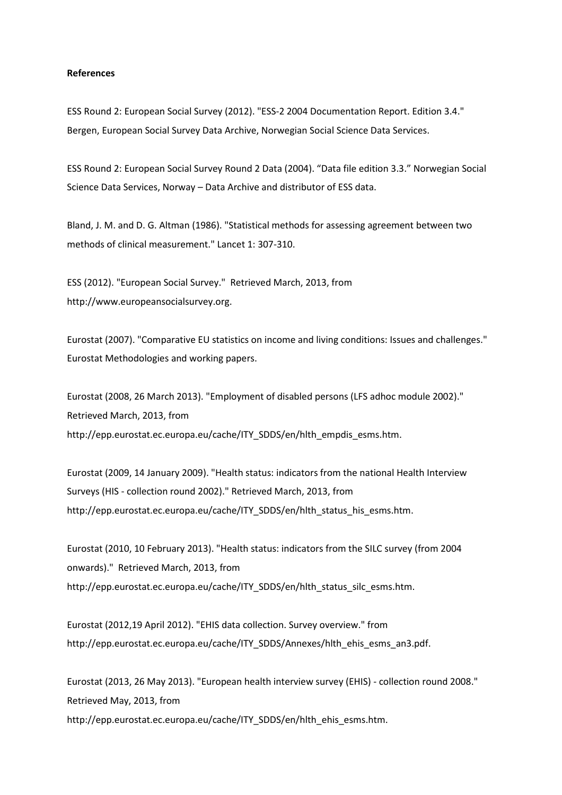#### **References**

ESS Round 2: European Social Survey (2012). "ESS-2 2004 Documentation Report. Edition 3.4." Bergen, European Social Survey Data Archive, Norwegian Social Science Data Services.

ESS Round 2: European Social Survey Round 2 Data (2004). "Data file edition 3.3." Norwegian Social Science Data Services, Norway – Data Archive and distributor of ESS data.

Bland, J. M. and D. G. Altman (1986). "Statistical methods for assessing agreement between two methods of clinical measurement." Lancet 1: 307-310.

ESS (2012). "European Social Survey." Retrieved March, 2013, from http://www.europeansocialsurvey.org.

Eurostat (2007). "Comparative EU statistics on income and living conditions: Issues and challenges." Eurostat Methodologies and working papers.

Eurostat (2008, 26 March 2013). "Employment of disabled persons (LFS adhoc module 2002)." Retrieved March, 2013, from http://epp.eurostat.ec.europa.eu/cache/ITY\_SDDS/en/hlth\_empdis\_esms.htm.

Eurostat (2009, 14 January 2009). "Health status: indicators from the national Health Interview Surveys (HIS - collection round 2002)." Retrieved March, 2013, from http://epp.eurostat.ec.europa.eu/cache/ITY\_SDDS/en/hlth\_status\_his\_esms.htm.

Eurostat (2010, 10 February 2013). "Health status: indicators from the SILC survey (from 2004 onwards)." Retrieved March, 2013, from http://epp.eurostat.ec.europa.eu/cache/ITY\_SDDS/en/hlth\_status\_silc\_esms.htm.

Eurostat (2012,19 April 2012). "EHIS data collection. Survey overview." from http://epp.eurostat.ec.europa.eu/cache/ITY\_SDDS/Annexes/hlth\_ehis\_esms\_an3.pdf.

Eurostat (2013, 26 May 2013). "European health interview survey (EHIS) - collection round 2008." Retrieved May, 2013, from http://epp.eurostat.ec.europa.eu/cache/ITY\_SDDS/en/hlth\_ehis\_esms.htm.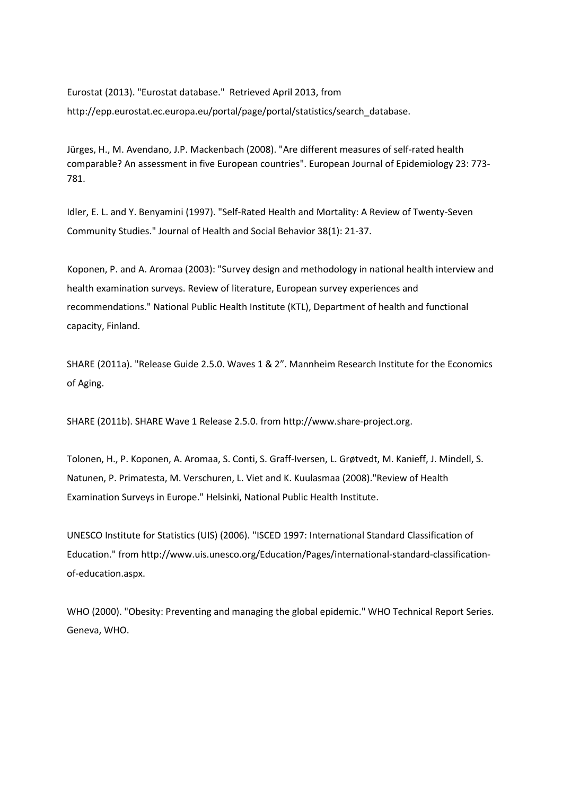Eurostat (2013). "Eurostat database." Retrieved April 2013, from http://epp.eurostat.ec.europa.eu/portal/page/portal/statistics/search\_database.

Jürges, H., M. Avendano, J.P. Mackenbach (2008). "Are different measures of self-rated health comparable? An assessment in five European countries". European Journal of Epidemiology 23: 773- 781.

Idler, E. L. and Y. Benyamini (1997). "Self-Rated Health and Mortality: A Review of Twenty-Seven Community Studies." Journal of Health and Social Behavior 38(1): 21-37.

Koponen, P. and A. Aromaa (2003): "Survey design and methodology in national health interview and health examination surveys. Review of literature, European survey experiences and recommendations." National Public Health Institute (KTL), Department of health and functional capacity, Finland.

SHARE (2011a). "Release Guide 2.5.0. Waves 1 & 2". Mannheim Research Institute for the Economics of Aging.

SHARE (2011b). SHARE Wave 1 Release 2.5.0. from http://www.share-project.org.

Tolonen, H., P. Koponen, A. Aromaa, S. Conti, S. Graff-Iversen, L. Grøtvedt, M. Kanieff, J. Mindell, S. Natunen, P. Primatesta, M. Verschuren, L. Viet and K. Kuulasmaa (2008)."Review of Health Examination Surveys in Europe." Helsinki, National Public Health Institute.

UNESCO Institute for Statistics (UIS) (2006). "ISCED 1997: International Standard Classification of Education." from http://www.uis.unesco.org/Education/Pages/international-standard-classificationof-education.aspx.

WHO (2000). "Obesity: Preventing and managing the global epidemic." WHO Technical Report Series. Geneva, WHO.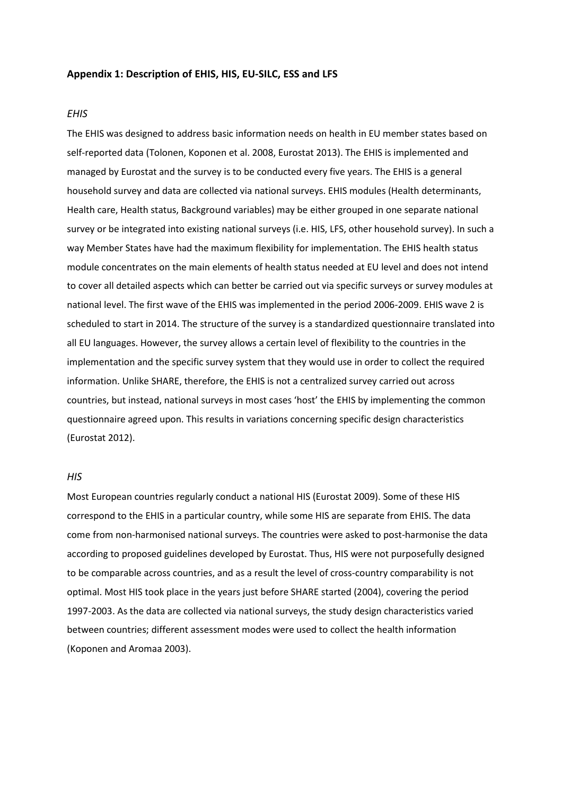#### **Appendix 1: Description of EHIS, HIS, EU-SILC, ESS and LFS**

## *EHIS*

The EHIS was designed to address basic information needs on health in EU member states based on self-reported data (Tolonen, Koponen et al. 2008, Eurostat 2013). The EHIS is implemented and managed by Eurostat and the survey is to be conducted every five years. The EHIS is a general household survey and data are collected via national surveys. EHIS modules (Health determinants, Health care, Health status, Background variables) may be either grouped in one separate national survey or be integrated into existing national surveys (i.e. HIS, LFS, other household survey). In such a way Member States have had the maximum flexibility for implementation. The EHIS health status module concentrates on the main elements of health status needed at EU level and does not intend to cover all detailed aspects which can better be carried out via specific surveys or survey modules at national level. The first wave of the EHIS was implemented in the period 2006-2009. EHIS wave 2 is scheduled to start in 2014. The structure of the survey is a standardized questionnaire translated into all EU languages. However, the survey allows a certain level of flexibility to the countries in the implementation and the specific survey system that they would use in order to collect the required information. Unlike SHARE, therefore, the EHIS is not a centralized survey carried out across countries, but instead, national surveys in most cases 'host' the EHIS by implementing the common questionnaire agreed upon. This results in variations concerning specific design characteristics (Eurostat 2012).

#### *HIS*

Most European countries regularly conduct a national HIS (Eurostat 2009). Some of these HIS correspond to the EHIS in a particular country, while some HIS are separate from EHIS. The data come from non-harmonised national surveys. The countries were asked to post-harmonise the data according to proposed guidelines developed by Eurostat. Thus, HIS were not purposefully designed to be comparable across countries, and as a result the level of cross-country comparability is not optimal. Most HIS took place in the years just before SHARE started (2004), covering the period 1997-2003. As the data are collected via national surveys, the study design characteristics varied between countries; different assessment modes were used to collect the health information (Koponen and Aromaa 2003).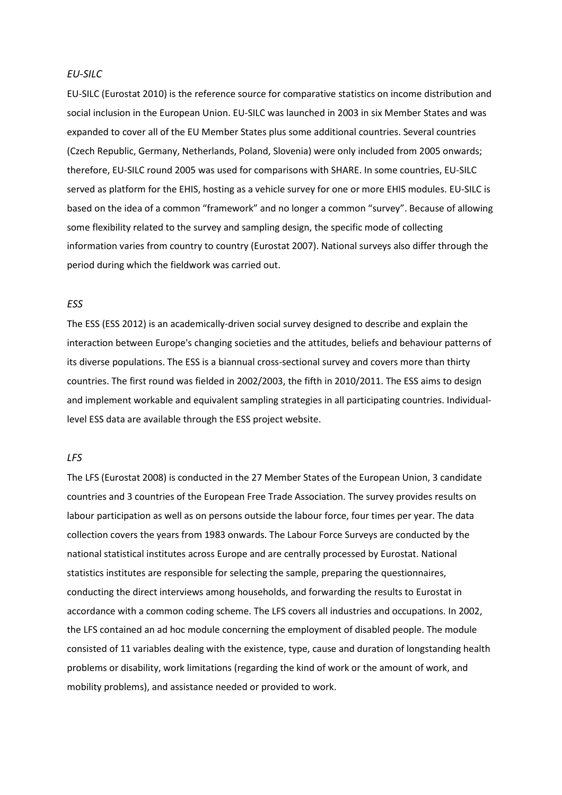### *EU-SILC*

EU-SILC (Eurostat 2010) is the reference source for comparative statistics on income distribution and social inclusion in the European Union. EU-SILC was launched in 2003 in six Member States and was expanded to cover all of the EU Member States plus some additional countries. Several countries (Czech Republic, Germany, Netherlands, Poland, Slovenia) were only included from 2005 onwards; therefore, EU-SILC round 2005 was used for comparisons with SHARE. In some countries, EU-SILC served as platform for the EHIS, hosting as a vehicle survey for one or more EHIS modules. EU-SILC is based on the idea of a common "framework" and no longer a common "survey". Because of allowing some flexibility related to the survey and sampling design, the specific mode of collecting information varies from country to country (Eurostat 2007). National surveys also differ through the period during which the fieldwork was carried out.

## *ESS*

The ESS (ESS 2012) is an academically-driven social survey designed to describe and explain the interaction between Europe's changing societies and the attitudes, beliefs and behaviour patterns of its diverse populations. The ESS is a biannual cross-sectional survey and covers more than thirty countries. The first round was fielded in 2002/2003, the fifth in 2010/2011. The ESS aims to design and implement workable and equivalent sampling strategies in all participating countries. Individuallevel ESS data are available through the ESS project website.

## *LFS*

The LFS (Eurostat 2008) is conducted in the 27 Member States of the European Union, 3 candidate countries and 3 countries of the European Free Trade Association. The survey provides results on labour participation as well as on persons outside the labour force, four times per year. The data collection covers the years from 1983 onwards. The Labour Force Surveys are conducted by the national statistical institutes across Europe and are centrally processed by Eurostat. National statistics institutes are responsible for selecting the sample, preparing the questionnaires, conducting the direct interviews among households, and forwarding the results to Eurostat in accordance with a common coding scheme. The LFS covers all industries and occupations. In 2002, the LFS contained an ad hoc module concerning the employment of disabled people. The module consisted of 11 variables dealing with the existence, type, cause and duration of longstanding health problems or disability, work limitations (regarding the kind of work or the amount of work, and mobility problems), and assistance needed or provided to work.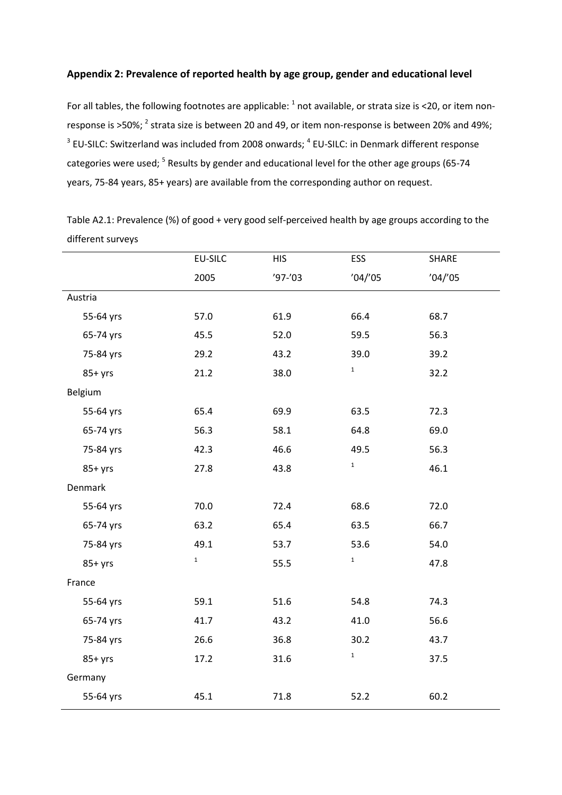# **Appendix 2: Prevalence of reported health by age group, gender and educational level**

For all tables, the following footnotes are applicable:  $1$  not available, or strata size is <20, or item nonresponse is >50%; <sup>2</sup> strata size is between 20 and 49, or item non-response is between 20% and 49%;  $3$  EU-SILC: Switzerland was included from 2008 onwards;  $4$  EU-SILC: in Denmark different response categories were used; <sup>5</sup> Results by gender and educational level for the other age groups (65-74 years, 75-84 years, 85+ years) are available from the corresponding author on request.

|           | EU-SILC     | <b>HIS</b> | ESS         | SHARE   |
|-----------|-------------|------------|-------------|---------|
|           | 2005        | $'97-'03$  | '04''05     | '04''05 |
| Austria   |             |            |             |         |
| 55-64 yrs | 57.0        | 61.9       | 66.4        | 68.7    |
| 65-74 yrs | 45.5        | 52.0       | 59.5        | 56.3    |
| 75-84 yrs | 29.2        | 43.2       | 39.0        | 39.2    |
| $85+yrs$  | 21.2        | 38.0       | $\mathbf 1$ | 32.2    |
| Belgium   |             |            |             |         |
| 55-64 yrs | 65.4        | 69.9       | 63.5        | 72.3    |
| 65-74 yrs | 56.3        | 58.1       | 64.8        | 69.0    |
| 75-84 yrs | 42.3        | 46.6       | 49.5        | 56.3    |
| $85+yrs$  | 27.8        | 43.8       | $\mathbf 1$ | 46.1    |
| Denmark   |             |            |             |         |
| 55-64 yrs | 70.0        | 72.4       | 68.6        | 72.0    |
| 65-74 yrs | 63.2        | 65.4       | 63.5        | 66.7    |
| 75-84 yrs | 49.1        | 53.7       | 53.6        | 54.0    |
| $85+yrs$  | $\mathbf 1$ | 55.5       | $\mathbf 1$ | 47.8    |
| France    |             |            |             |         |
| 55-64 yrs | 59.1        | 51.6       | 54.8        | 74.3    |
| 65-74 yrs | 41.7        | 43.2       | 41.0        | 56.6    |
| 75-84 yrs | 26.6        | 36.8       | 30.2        | 43.7    |
| $85+yrs$  | 17.2        | 31.6       | $\mathbf 1$ | 37.5    |
| Germany   |             |            |             |         |
| 55-64 yrs | 45.1        | 71.8       | 52.2        | 60.2    |

Table A2.1: Prevalence (%) of good + very good self-perceived health by age groups according to the different surveys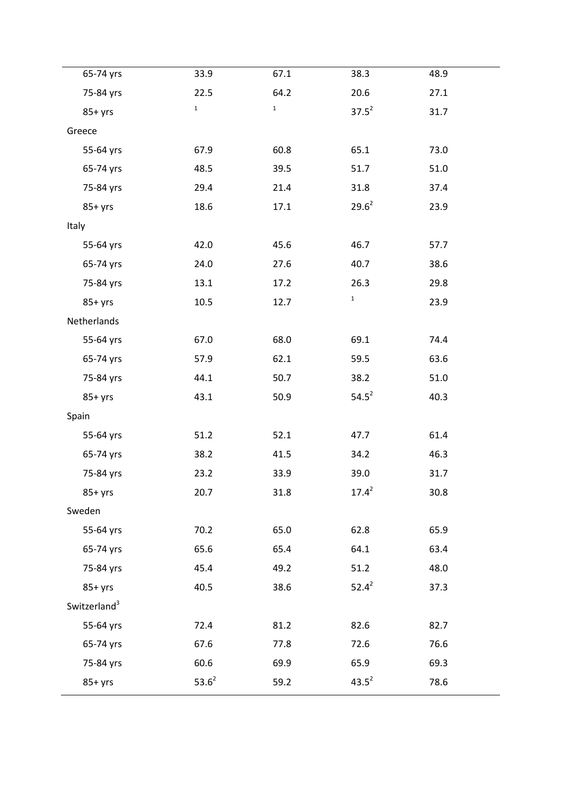| 65-74 yrs                | 33.9        | 67.1        | 38.3        | 48.9 |  |
|--------------------------|-------------|-------------|-------------|------|--|
| 75-84 yrs                | 22.5        | 64.2        | 20.6        | 27.1 |  |
| $85+yrs$                 | $\mathbf 1$ | $\mathbf 1$ | $37.5^2$    | 31.7 |  |
| Greece                   |             |             |             |      |  |
| 55-64 yrs                | 67.9        | 60.8        | 65.1        | 73.0 |  |
| 65-74 yrs                | 48.5        | 39.5        | 51.7        | 51.0 |  |
| 75-84 yrs                | 29.4        | 21.4        | 31.8        | 37.4 |  |
| $85+yrs$                 | 18.6        | 17.1        | $29.6^2$    | 23.9 |  |
| Italy                    |             |             |             |      |  |
| 55-64 yrs                | 42.0        | 45.6        | 46.7        | 57.7 |  |
| 65-74 yrs                | 24.0        | 27.6        | 40.7        | 38.6 |  |
| 75-84 yrs                | 13.1        | 17.2        | 26.3        | 29.8 |  |
| $85+yrs$                 | 10.5        | 12.7        | $\mathbf 1$ | 23.9 |  |
| Netherlands              |             |             |             |      |  |
| 55-64 yrs                | 67.0        | 68.0        | 69.1        | 74.4 |  |
| 65-74 yrs                | 57.9        | 62.1        | 59.5        | 63.6 |  |
| 75-84 yrs                | 44.1        | 50.7        | 38.2        | 51.0 |  |
| $85+yrs$                 | 43.1        | 50.9        | $54.5^2$    | 40.3 |  |
| Spain                    |             |             |             |      |  |
| 55-64 yrs                | 51.2        | 52.1        | 47.7        | 61.4 |  |
| 65-74 yrs                | 38.2        | 41.5        | 34.2        | 46.3 |  |
| 75-84 yrs                | 23.2        | 33.9        | 39.0        | 31.7 |  |
| $85+yrs$                 | 20.7        | 31.8        | $17.4^2$    | 30.8 |  |
| Sweden                   |             |             |             |      |  |
| 55-64 yrs                | 70.2        | 65.0        | 62.8        | 65.9 |  |
| 65-74 yrs                | 65.6        | 65.4        | 64.1        | 63.4 |  |
| 75-84 yrs                | 45.4        | 49.2        | 51.2        | 48.0 |  |
| $85+yrs$                 | 40.5        | 38.6        | $52.4^2$    | 37.3 |  |
| Switzerland <sup>3</sup> |             |             |             |      |  |
| 55-64 yrs                | 72.4        | 81.2        | 82.6        | 82.7 |  |
| 65-74 yrs                | 67.6        | 77.8        | 72.6        | 76.6 |  |
| 75-84 yrs                | 60.6        | 69.9        | 65.9        | 69.3 |  |
| $85+yrs$                 | $53.6^2$    | 59.2        | $43.5^2$    | 78.6 |  |
|                          |             |             |             |      |  |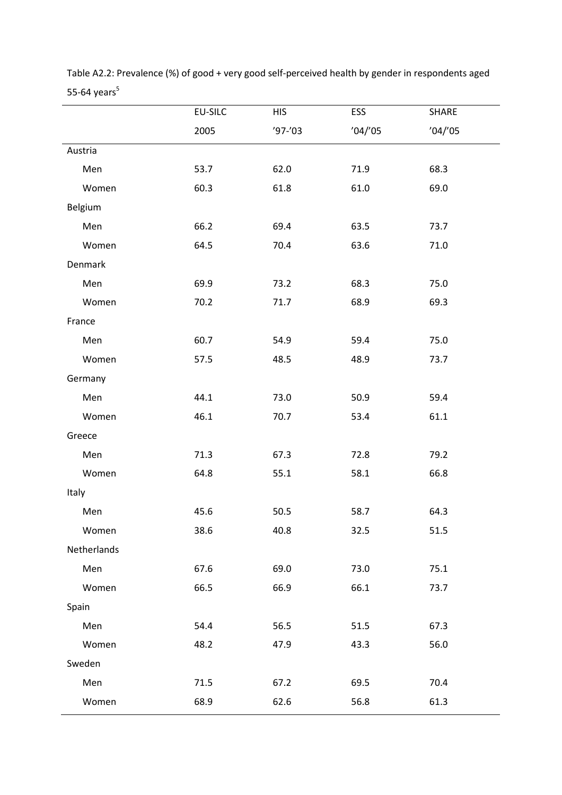|             | <b>EU-SILC</b> | <b>HIS</b> | ESS     | <b>SHARE</b> |
|-------------|----------------|------------|---------|--------------|
|             | 2005           | $'97-'03$  | '04''05 | '04''05      |
| Austria     |                |            |         |              |
| Men         | 53.7           | 62.0       | 71.9    | 68.3         |
| Women       | 60.3           | 61.8       | 61.0    | 69.0         |
| Belgium     |                |            |         |              |
| Men         | 66.2           | 69.4       | 63.5    | 73.7         |
| Women       | 64.5           | 70.4       | 63.6    | 71.0         |
| Denmark     |                |            |         |              |
| Men         | 69.9           | 73.2       | 68.3    | 75.0         |
| Women       | 70.2           | 71.7       | 68.9    | 69.3         |
| France      |                |            |         |              |
| Men         | 60.7           | 54.9       | 59.4    | 75.0         |
| Women       | 57.5           | 48.5       | 48.9    | 73.7         |
| Germany     |                |            |         |              |
| Men         | 44.1           | 73.0       | 50.9    | 59.4         |
| Women       | 46.1           | 70.7       | 53.4    | 61.1         |
| Greece      |                |            |         |              |
| Men         | 71.3           | 67.3       | 72.8    | 79.2         |
| Women       | 64.8           | 55.1       | 58.1    | 66.8         |
| Italy       |                |            |         |              |
| Men         | 45.6           | 50.5       | 58.7    | 64.3         |
| Women       | 38.6           | 40.8       | 32.5    | 51.5         |
| Netherlands |                |            |         |              |
| Men         | 67.6           | 69.0       | 73.0    | 75.1         |
| Women       | 66.5           | 66.9       | 66.1    | 73.7         |
| Spain       |                |            |         |              |
| Men         | 54.4           | 56.5       | 51.5    | 67.3         |
| Women       | 48.2           | 47.9       | 43.3    | 56.0         |
| Sweden      |                |            |         |              |
| Men         | 71.5           | 67.2       | 69.5    | 70.4         |
| Women       | 68.9           | 62.6       | 56.8    | 61.3         |

Table A2.2: Prevalence (%) of good + very good self-perceived health by gender in respondents aged 55-64 years $^5$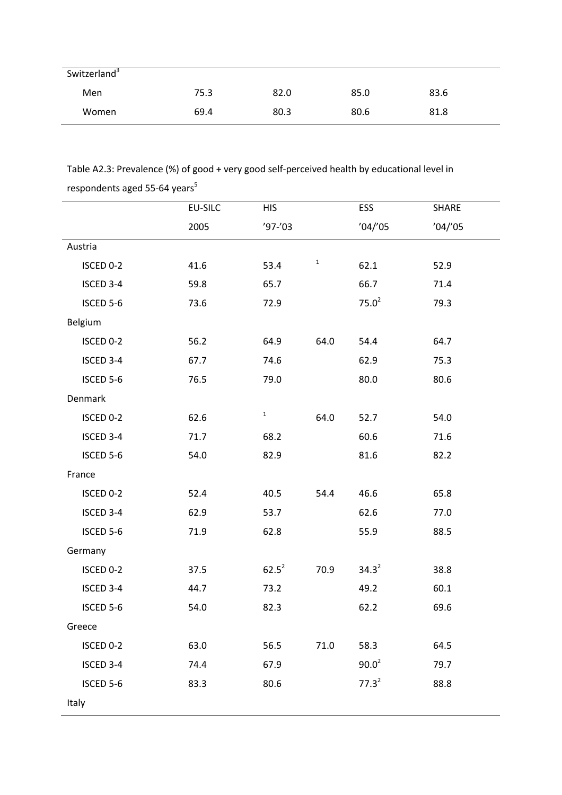| Switzerland <sup>3</sup> |      |      |      |      |  |
|--------------------------|------|------|------|------|--|
| Men                      | 75.3 | 82.0 | 85.0 | 83.6 |  |
| Women                    | 69.4 | 80.3 | 80.6 | 81.8 |  |

Table A2.3: Prevalence (%) of good + very good self-perceived health by educational level in respondents aged 55-64 years $^5$ 

|                | <b>EU-SILC</b> | <b>HIS</b>   |             | ESS        | SHARE   |
|----------------|----------------|--------------|-------------|------------|---------|
|                | 2005           | $'97-'03$    |             | '04''05    | '04''05 |
| Austria        |                |              |             |            |         |
| ISCED 0-2      | 41.6           | 53.4         | $\mathbf 1$ | 62.1       | 52.9    |
| ISCED 3-4      | 59.8           | 65.7         |             | 66.7       | 71.4    |
| ISCED 5-6      | 73.6           | 72.9         |             | $75.0^2$   | 79.3    |
| Belgium        |                |              |             |            |         |
| ISCED 0-2      | 56.2           | 64.9         | 64.0        | 54.4       | 64.7    |
| ISCED 3-4      | 67.7           | 74.6         |             | 62.9       | 75.3    |
| ISCED 5-6      | 76.5           | 79.0         |             | 80.0       | 80.6    |
| <b>Denmark</b> |                |              |             |            |         |
| ISCED 0-2      | 62.6           | $\mathbf{1}$ | 64.0        | 52.7       | 54.0    |
| ISCED 3-4      | 71.7           | 68.2         |             | 60.6       | 71.6    |
| ISCED 5-6      | 54.0           | 82.9         |             | 81.6       | 82.2    |
| France         |                |              |             |            |         |
| ISCED 0-2      | 52.4           | 40.5         | 54.4        | 46.6       | 65.8    |
| ISCED 3-4      | 62.9           | 53.7         |             | 62.6       | 77.0    |
| ISCED 5-6      | 71.9           | 62.8         |             | 55.9       | 88.5    |
| Germany        |                |              |             |            |         |
| ISCED 0-2      | 37.5           | $62.5^2$     | 70.9        | $34.3^{2}$ | 38.8    |
| ISCED 3-4      | 44.7           | 73.2         |             | 49.2       | 60.1    |
| ISCED 5-6      | 54.0           | 82.3         |             | 62.2       | 69.6    |
| Greece         |                |              |             |            |         |
| ISCED 0-2      | 63.0           | 56.5         | 71.0        | 58.3       | 64.5    |
| ISCED 3-4      | 74.4           | 67.9         |             | $90.0^2$   | 79.7    |
| ISCED 5-6      | 83.3           | 80.6         |             | $77.3^2$   | 88.8    |
| Italy          |                |              |             |            |         |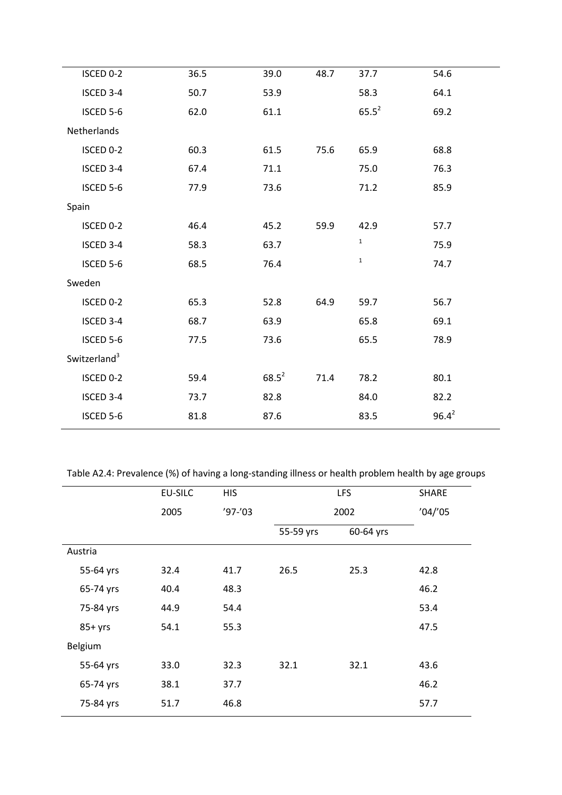| ISCED 0-2                | 36.5 | 39.0     | 48.7 | 37.7         | 54.6       |  |
|--------------------------|------|----------|------|--------------|------------|--|
| ISCED 3-4                | 50.7 | 53.9     |      | 58.3         | 64.1       |  |
| ISCED 5-6                | 62.0 | 61.1     |      | $65.5^2$     | 69.2       |  |
| Netherlands              |      |          |      |              |            |  |
| ISCED 0-2                | 60.3 | 61.5     | 75.6 | 65.9         | 68.8       |  |
| ISCED 3-4                | 67.4 | 71.1     |      | 75.0         | 76.3       |  |
| ISCED 5-6                | 77.9 | 73.6     |      | 71.2         | 85.9       |  |
| Spain                    |      |          |      |              |            |  |
| ISCED 0-2                | 46.4 | 45.2     | 59.9 | 42.9         | 57.7       |  |
| ISCED 3-4                | 58.3 | 63.7     |      | $\mathbf{1}$ | 75.9       |  |
| ISCED 5-6                | 68.5 | 76.4     |      | $\mathbf 1$  | 74.7       |  |
| Sweden                   |      |          |      |              |            |  |
| ISCED 0-2                | 65.3 | 52.8     | 64.9 | 59.7         | 56.7       |  |
| ISCED 3-4                | 68.7 | 63.9     |      | 65.8         | 69.1       |  |
| ISCED 5-6                | 77.5 | 73.6     |      | 65.5         | 78.9       |  |
| Switzerland <sup>3</sup> |      |          |      |              |            |  |
| ISCED 0-2                | 59.4 | $68.5^2$ | 71.4 | 78.2         | 80.1       |  |
| ISCED 3-4                | 73.7 | 82.8     |      | 84.0         | 82.2       |  |
| ISCED 5-6                | 81.8 | 87.6     |      | 83.5         | $96.4^{2}$ |  |
|                          |      |          |      |              |            |  |

Table A2.4: Prevalence (%) of having a long-standing illness or health problem health by age groups

|           | <b>EU-SILC</b> | <b>HIS</b> |           | <b>LFS</b> | <b>SHARE</b> |
|-----------|----------------|------------|-----------|------------|--------------|
|           | 2005           | $'97-'03$  |           | 2002       |              |
|           |                |            | 55-59 yrs | 60-64 yrs  |              |
| Austria   |                |            |           |            |              |
| 55-64 yrs | 32.4           | 41.7       | 26.5      | 25.3       | 42.8         |
| 65-74 yrs | 40.4           | 48.3       |           |            | 46.2         |
| 75-84 yrs | 44.9           | 54.4       |           |            | 53.4         |
| $85+yrs$  | 54.1           | 55.3       |           |            | 47.5         |
| Belgium   |                |            |           |            |              |
| 55-64 yrs | 33.0           | 32.3       | 32.1      | 32.1       | 43.6         |
| 65-74 yrs | 38.1           | 37.7       |           |            | 46.2         |
| 75-84 yrs | 51.7           | 46.8       |           |            | 57.7         |
|           |                |            |           |            |              |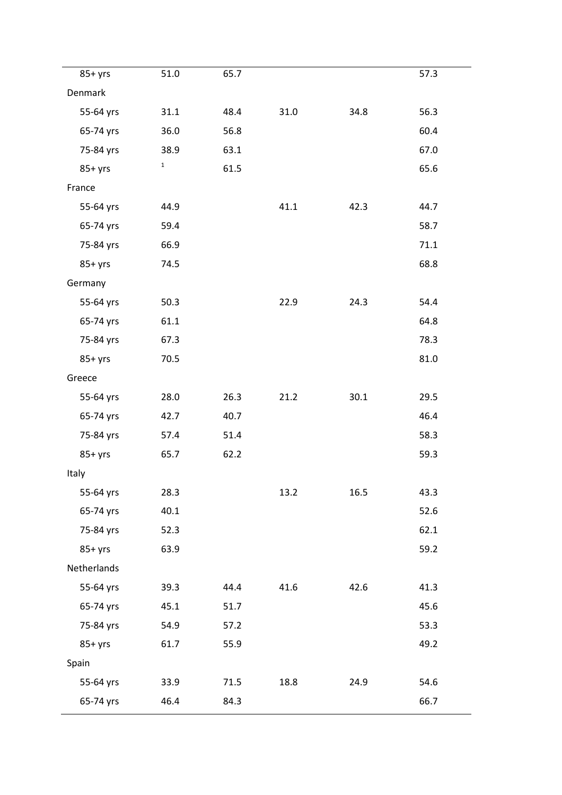| $85+$ yrs   | 51.0        | 65.7 |      |      | 57.3 |
|-------------|-------------|------|------|------|------|
| Denmark     |             |      |      |      |      |
| 55-64 yrs   | 31.1        | 48.4 | 31.0 | 34.8 | 56.3 |
| 65-74 yrs   | 36.0        | 56.8 |      |      | 60.4 |
| 75-84 yrs   | 38.9        | 63.1 |      |      | 67.0 |
| $85+yrs$    | $\mathbf 1$ | 61.5 |      |      | 65.6 |
| France      |             |      |      |      |      |
| 55-64 yrs   | 44.9        |      | 41.1 | 42.3 | 44.7 |
| 65-74 yrs   | 59.4        |      |      |      | 58.7 |
| 75-84 yrs   | 66.9        |      |      |      | 71.1 |
| $85+yrs$    | 74.5        |      |      |      | 68.8 |
| Germany     |             |      |      |      |      |
| 55-64 yrs   | 50.3        |      | 22.9 | 24.3 | 54.4 |
| 65-74 yrs   | 61.1        |      |      |      | 64.8 |
| 75-84 yrs   | 67.3        |      |      |      | 78.3 |
| $85+yrs$    | 70.5        |      |      |      | 81.0 |
| Greece      |             |      |      |      |      |
| 55-64 yrs   | 28.0        | 26.3 | 21.2 | 30.1 | 29.5 |
| 65-74 yrs   | 42.7        | 40.7 |      |      | 46.4 |
| 75-84 yrs   | 57.4        | 51.4 |      |      | 58.3 |
| $85+yrs$    | 65.7        | 62.2 |      |      | 59.3 |
| Italy       |             |      |      |      |      |
| 55-64 yrs   | 28.3        |      | 13.2 | 16.5 | 43.3 |
| 65-74 yrs   | 40.1        |      |      |      | 52.6 |
| 75-84 yrs   | 52.3        |      |      |      | 62.1 |
| $85+yrs$    | 63.9        |      |      |      | 59.2 |
| Netherlands |             |      |      |      |      |
| 55-64 yrs   | 39.3        | 44.4 | 41.6 | 42.6 | 41.3 |
| 65-74 yrs   | 45.1        | 51.7 |      |      | 45.6 |
| 75-84 yrs   | 54.9        | 57.2 |      |      | 53.3 |
| $85+yrs$    | 61.7        | 55.9 |      |      | 49.2 |
| Spain       |             |      |      |      |      |
| 55-64 yrs   | 33.9        | 71.5 | 18.8 | 24.9 | 54.6 |
| 65-74 yrs   | 46.4        | 84.3 |      |      | 66.7 |
|             |             |      |      |      |      |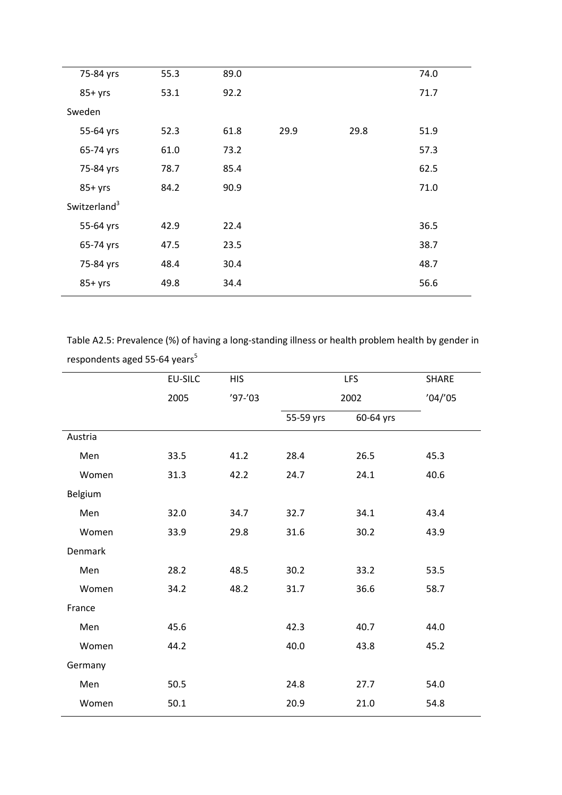| 75-84 yrs                | 55.3 | 89.0 |      |      | 74.0 |  |
|--------------------------|------|------|------|------|------|--|
| $85+yrs$                 | 53.1 | 92.2 |      |      | 71.7 |  |
| Sweden                   |      |      |      |      |      |  |
| 55-64 yrs                | 52.3 | 61.8 | 29.9 | 29.8 | 51.9 |  |
| 65-74 yrs                | 61.0 | 73.2 |      |      | 57.3 |  |
| 75-84 yrs                | 78.7 | 85.4 |      |      | 62.5 |  |
| $85+yrs$                 | 84.2 | 90.9 |      |      | 71.0 |  |
| Switzerland <sup>3</sup> |      |      |      |      |      |  |
| 55-64 yrs                | 42.9 | 22.4 |      |      | 36.5 |  |
| 65-74 yrs                | 47.5 | 23.5 |      |      | 38.7 |  |
| 75-84 yrs                | 48.4 | 30.4 |      |      | 48.7 |  |
| $85+yrs$                 | 49.8 | 34.4 |      |      | 56.6 |  |
|                          |      |      |      |      |      |  |

Table A2.5: Prevalence (%) of having a long-standing illness or health problem health by gender in respondents aged 55-64 years $^5$ 

|         | EU-SILC | <b>HIS</b> |           | <b>LFS</b> | SHARE   |
|---------|---------|------------|-----------|------------|---------|
|         | 2005    | $'97-'03$  |           | 2002       | '04''05 |
|         |         |            | 55-59 yrs | 60-64 yrs  |         |
| Austria |         |            |           |            |         |
| Men     | 33.5    | 41.2       | 28.4      | 26.5       | 45.3    |
| Women   | 31.3    | 42.2       | 24.7      | 24.1       | 40.6    |
| Belgium |         |            |           |            |         |
| Men     | 32.0    | 34.7       | 32.7      | 34.1       | 43.4    |
| Women   | 33.9    | 29.8       | 31.6      | 30.2       | 43.9    |
| Denmark |         |            |           |            |         |
| Men     | 28.2    | 48.5       | 30.2      | 33.2       | 53.5    |
| Women   | 34.2    | 48.2       | 31.7      | 36.6       | 58.7    |
| France  |         |            |           |            |         |
| Men     | 45.6    |            | 42.3      | 40.7       | 44.0    |
| Women   | 44.2    |            | 40.0      | 43.8       | 45.2    |
| Germany |         |            |           |            |         |
| Men     | 50.5    |            | 24.8      | 27.7       | 54.0    |
| Women   | 50.1    |            | 20.9      | 21.0       | 54.8    |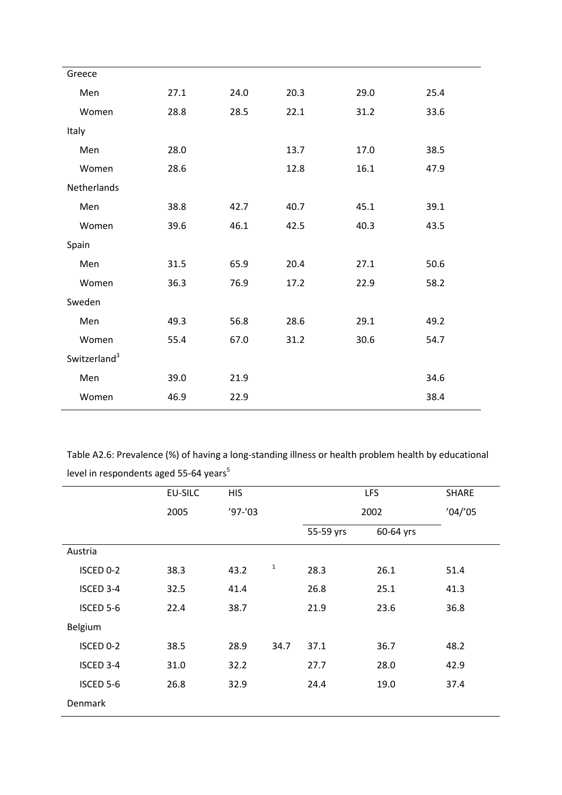| Greece                   |      |      |      |      |      |
|--------------------------|------|------|------|------|------|
| Men                      | 27.1 | 24.0 | 20.3 | 29.0 | 25.4 |
| Women                    | 28.8 | 28.5 | 22.1 | 31.2 | 33.6 |
| Italy                    |      |      |      |      |      |
| Men                      | 28.0 |      | 13.7 | 17.0 | 38.5 |
| Women                    | 28.6 |      | 12.8 | 16.1 | 47.9 |
| Netherlands              |      |      |      |      |      |
| Men                      | 38.8 | 42.7 | 40.7 | 45.1 | 39.1 |
| Women                    | 39.6 | 46.1 | 42.5 | 40.3 | 43.5 |
| Spain                    |      |      |      |      |      |
| Men                      | 31.5 | 65.9 | 20.4 | 27.1 | 50.6 |
| Women                    | 36.3 | 76.9 | 17.2 | 22.9 | 58.2 |
| Sweden                   |      |      |      |      |      |
| Men                      | 49.3 | 56.8 | 28.6 | 29.1 | 49.2 |
| Women                    | 55.4 | 67.0 | 31.2 | 30.6 | 54.7 |
| Switzerland <sup>3</sup> |      |      |      |      |      |
| Men                      | 39.0 | 21.9 |      |      | 34.6 |
| Women                    | 46.9 | 22.9 |      |      | 38.4 |
|                          |      |      |      |      |      |

Table A2.6: Prevalence (%) of having a long-standing illness or health problem health by educational level in respondents aged 55-64 years<sup>5</sup>

|           | EU-SILC | <b>HIS</b> |              |           | <b>LFS</b> | SHARE   |
|-----------|---------|------------|--------------|-----------|------------|---------|
|           | 2005    | $'97-'03$  |              |           | 2002       | '04''05 |
|           |         |            |              | 55-59 yrs | 60-64 yrs  |         |
| Austria   |         |            |              |           |            |         |
| ISCED 0-2 | 38.3    | 43.2       | $\mathbf{1}$ | 28.3      | 26.1       | 51.4    |
| ISCED 3-4 | 32.5    | 41.4       |              | 26.8      | 25.1       | 41.3    |
| ISCED 5-6 | 22.4    | 38.7       |              | 21.9      | 23.6       | 36.8    |
| Belgium   |         |            |              |           |            |         |
| ISCED 0-2 | 38.5    | 28.9       | 34.7         | 37.1      | 36.7       | 48.2    |
| ISCED 3-4 | 31.0    | 32.2       |              | 27.7      | 28.0       | 42.9    |
| ISCED 5-6 | 26.8    | 32.9       |              | 24.4      | 19.0       | 37.4    |
| Denmark   |         |            |              |           |            |         |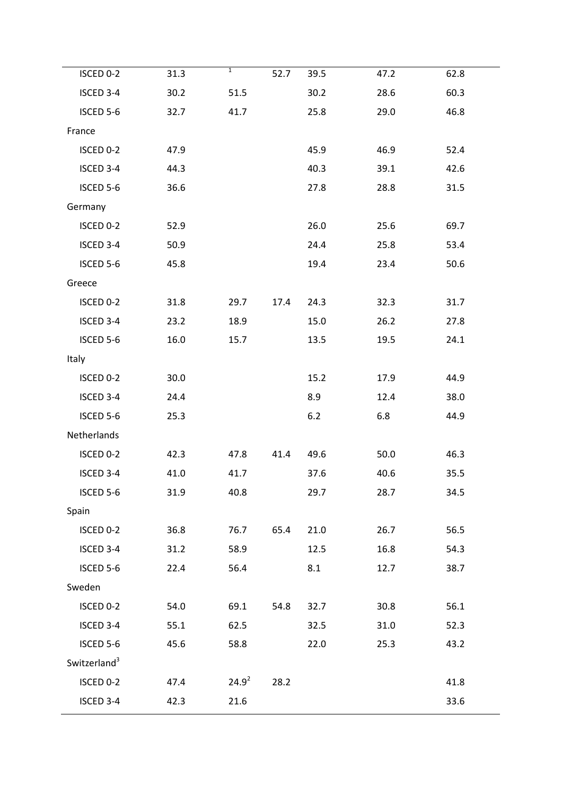| ISCED 0-2                | 31.3 | $\overline{1}$ | 52.7 | 39.5 | 47.2 | 62.8 |
|--------------------------|------|----------------|------|------|------|------|
| ISCED 3-4                |      |                |      |      |      |      |
|                          | 30.2 | 51.5           |      | 30.2 | 28.6 | 60.3 |
| ISCED 5-6                | 32.7 | 41.7           |      | 25.8 | 29.0 | 46.8 |
| France                   |      |                |      |      |      |      |
| ISCED 0-2                | 47.9 |                |      | 45.9 | 46.9 | 52.4 |
| ISCED 3-4                | 44.3 |                |      | 40.3 | 39.1 | 42.6 |
| ISCED 5-6                | 36.6 |                |      | 27.8 | 28.8 | 31.5 |
| Germany                  |      |                |      |      |      |      |
| ISCED 0-2                | 52.9 |                |      | 26.0 | 25.6 | 69.7 |
| ISCED 3-4                | 50.9 |                |      | 24.4 | 25.8 | 53.4 |
| ISCED 5-6                | 45.8 |                |      | 19.4 | 23.4 | 50.6 |
| Greece                   |      |                |      |      |      |      |
| ISCED 0-2                | 31.8 | 29.7           | 17.4 | 24.3 | 32.3 | 31.7 |
| ISCED 3-4                | 23.2 | 18.9           |      | 15.0 | 26.2 | 27.8 |
| ISCED 5-6                | 16.0 | 15.7           |      | 13.5 | 19.5 | 24.1 |
| Italy                    |      |                |      |      |      |      |
| ISCED 0-2                | 30.0 |                |      | 15.2 | 17.9 | 44.9 |
| ISCED 3-4                | 24.4 |                |      | 8.9  | 12.4 | 38.0 |
| ISCED 5-6                | 25.3 |                |      | 6.2  | 6.8  | 44.9 |
| Netherlands              |      |                |      |      |      |      |
| ISCED 0-2                | 42.3 | 47.8           | 41.4 | 49.6 | 50.0 | 46.3 |
| ISCED 3-4                | 41.0 | 41.7           |      | 37.6 | 40.6 | 35.5 |
| ISCED 5-6                | 31.9 | 40.8           |      | 29.7 | 28.7 | 34.5 |
| Spain                    |      |                |      |      |      |      |
| ISCED 0-2                | 36.8 | 76.7           | 65.4 | 21.0 | 26.7 | 56.5 |
| ISCED 3-4                | 31.2 | 58.9           |      | 12.5 | 16.8 | 54.3 |
| ISCED 5-6                | 22.4 | 56.4           |      | 8.1  | 12.7 | 38.7 |
| Sweden                   |      |                |      |      |      |      |
| ISCED 0-2                | 54.0 | 69.1           | 54.8 | 32.7 | 30.8 | 56.1 |
| ISCED 3-4                | 55.1 | 62.5           |      | 32.5 | 31.0 | 52.3 |
| ISCED 5-6                | 45.6 | 58.8           |      | 22.0 | 25.3 | 43.2 |
| Switzerland <sup>3</sup> |      |                |      |      |      |      |
| ISCED 0-2                | 47.4 | $24.9^{2}$     | 28.2 |      |      | 41.8 |
| ISCED 3-4                | 42.3 | 21.6           |      |      |      | 33.6 |
|                          |      |                |      |      |      |      |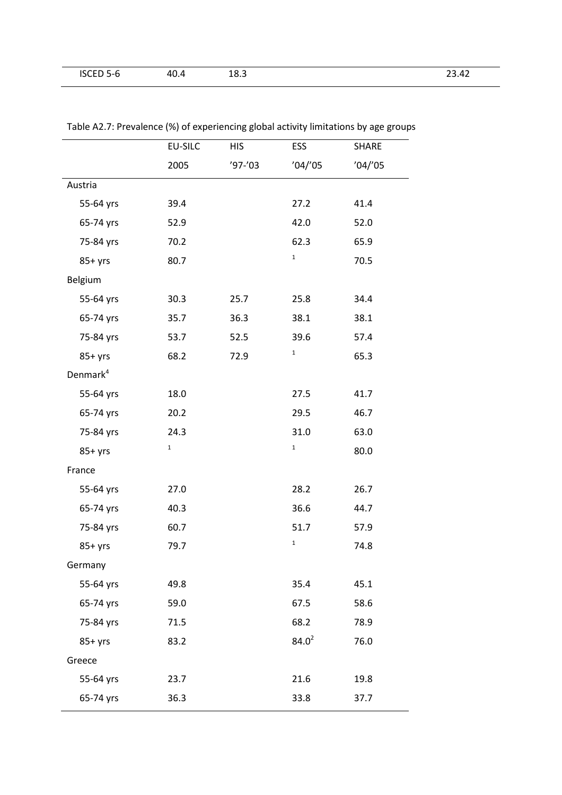| R<br>.JLE'<br>- - | $\Delta \Gamma$<br>— ∪ — | -<br>10.J | -- |
|-------------------|--------------------------|-----------|----|

|                      | <b>EU-SILC</b> | <b>HIS</b> | ESS          | <b>SHARE</b> |
|----------------------|----------------|------------|--------------|--------------|
|                      | 2005           | $'97-'03$  | '04''05      | '04''05      |
| Austria              |                |            |              |              |
| 55-64 yrs            | 39.4           |            | 27.2         | 41.4         |
| 65-74 yrs            | 52.9           |            | 42.0         | 52.0         |
| 75-84 yrs            | 70.2           |            | 62.3         | 65.9         |
| $85+yrs$             | 80.7           |            | $\mathbf 1$  | 70.5         |
| Belgium              |                |            |              |              |
| 55-64 yrs            | 30.3           | 25.7       | 25.8         | 34.4         |
| 65-74 yrs            | 35.7           | 36.3       | 38.1         | 38.1         |
| 75-84 yrs            | 53.7           | 52.5       | 39.6         | 57.4         |
| $85+yrs$             | 68.2           | 72.9       | $\mathbf{1}$ | 65.3         |
| Denmark <sup>4</sup> |                |            |              |              |
| 55-64 yrs            | 18.0           |            | 27.5         | 41.7         |
| 65-74 yrs            | 20.2           |            | 29.5         | 46.7         |
| 75-84 yrs            | 24.3           |            | 31.0         | 63.0         |
| $85+yrs$             | $\mathbf{1}$   |            | $\mathbf 1$  | 80.0         |
| France               |                |            |              |              |
| 55-64 yrs            | 27.0           |            | 28.2         | 26.7         |
| 65-74 yrs            | 40.3           |            | 36.6         | 44.7         |
| 75-84 yrs            | 60.7           |            | 51.7         | 57.9         |
| $85+yrs$             | 79.7           |            | $\mathbf 1$  | 74.8         |
| Germany              |                |            |              |              |
| 55-64 yrs            | 49.8           |            | 35.4         | 45.1         |
| 65-74 yrs            | 59.0           |            | 67.5         | 58.6         |
| 75-84 yrs            | 71.5           |            | 68.2         | 78.9         |
| $85+yrs$             | 83.2           |            | $84.0^2$     | 76.0         |
| Greece               |                |            |              |              |
| 55-64 yrs            | 23.7           |            | 21.6         | 19.8         |
| 65-74 yrs            | 36.3           |            | 33.8         | 37.7         |

Table A2.7: Prevalence (%) of experiencing global activity limitations by age groups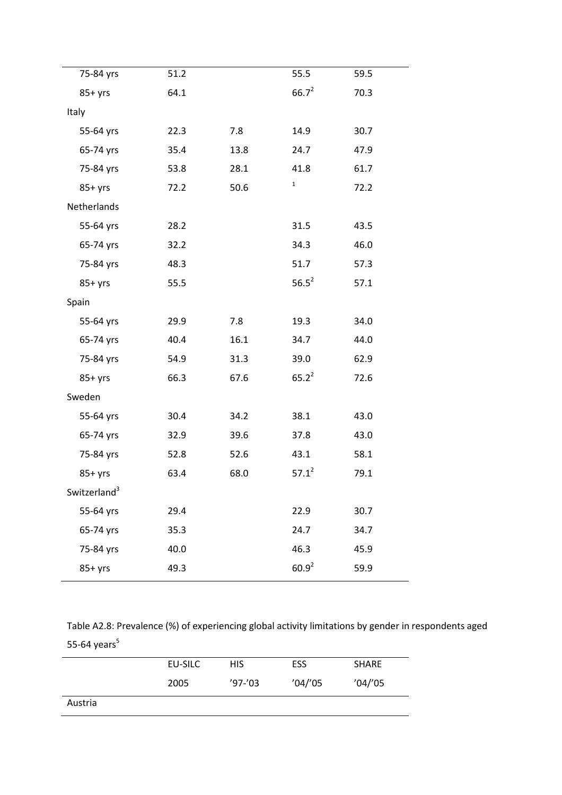| 75-84 yrs                | 51.2 |      | 55.5        | 59.5 |
|--------------------------|------|------|-------------|------|
| $85+yrs$                 | 64.1 |      | $66.7^2$    | 70.3 |
| Italy                    |      |      |             |      |
| 55-64 yrs                | 22.3 | 7.8  | 14.9        | 30.7 |
| 65-74 yrs                | 35.4 | 13.8 | 24.7        | 47.9 |
| 75-84 yrs                | 53.8 | 28.1 | 41.8        | 61.7 |
| $85+yrs$                 | 72.2 | 50.6 | $\mathbf 1$ | 72.2 |
| Netherlands              |      |      |             |      |
| 55-64 yrs                | 28.2 |      | 31.5        | 43.5 |
| 65-74 yrs                | 32.2 |      | 34.3        | 46.0 |
| 75-84 yrs                | 48.3 |      | 51.7        | 57.3 |
| $85+yrs$                 | 55.5 |      | $56.5^2$    | 57.1 |
| Spain                    |      |      |             |      |
| 55-64 yrs                | 29.9 | 7.8  | 19.3        | 34.0 |
| 65-74 yrs                | 40.4 | 16.1 | 34.7        | 44.0 |
| 75-84 yrs                | 54.9 | 31.3 | 39.0        | 62.9 |
| $85+yrs$                 | 66.3 | 67.6 | $65.2^2$    | 72.6 |
| Sweden                   |      |      |             |      |
| 55-64 yrs                | 30.4 | 34.2 | 38.1        | 43.0 |
| 65-74 yrs                | 32.9 | 39.6 | 37.8        | 43.0 |
| 75-84 yrs                | 52.8 | 52.6 | 43.1        | 58.1 |
| $85+yrs$                 | 63.4 | 68.0 | $57.1^2$    | 79.1 |
| Switzerland <sup>3</sup> |      |      |             |      |
| 55-64 yrs                | 29.4 |      | 22.9        | 30.7 |
| 65-74 yrs                | 35.3 |      | 24.7        | 34.7 |
| 75-84 yrs                | 40.0 |      | 46.3        | 45.9 |
| $85+yrs$                 | 49.3 |      | $60.9^{2}$  | 59.9 |
|                          |      |      |             |      |

Table A2.8: Prevalence (%) of experiencing global activity limitations by gender in respondents aged 55-64 years $^5$ 

|         | EU-SILC | <b>HIS</b>  | <b>ESS</b> | <b>SHARE</b> |
|---------|---------|-------------|------------|--------------|
|         | 2005    | $'97 - '03$ | '04''05    | '04''05      |
| Austria |         |             |            |              |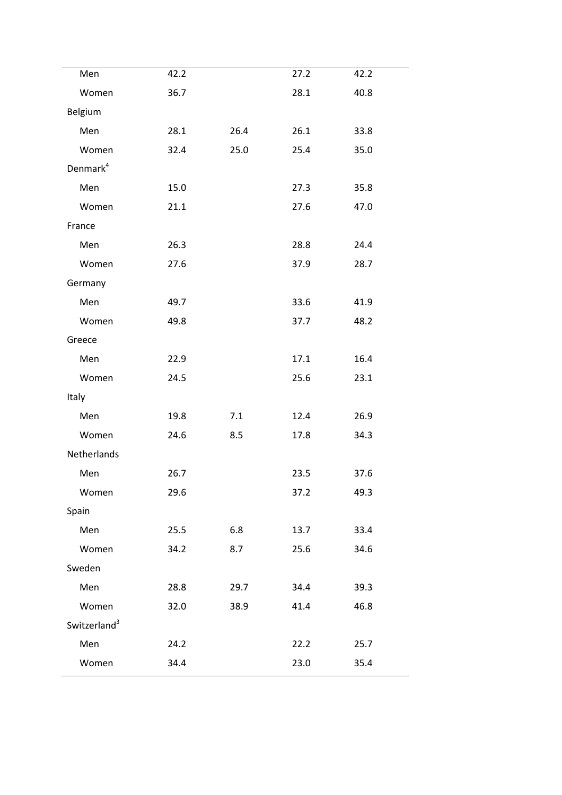| Men                      | 42.2 |      | 27.2 | 42.2 |
|--------------------------|------|------|------|------|
| Women                    | 36.7 |      | 28.1 | 40.8 |
| Belgium                  |      |      |      |      |
| Men                      | 28.1 | 26.4 | 26.1 | 33.8 |
| Women                    | 32.4 | 25.0 | 25.4 | 35.0 |
| Denmark <sup>4</sup>     |      |      |      |      |
| Men                      | 15.0 |      | 27.3 | 35.8 |
| Women                    | 21.1 |      | 27.6 | 47.0 |
| France                   |      |      |      |      |
| Men                      | 26.3 |      | 28.8 | 24.4 |
| Women                    | 27.6 |      | 37.9 | 28.7 |
| Germany                  |      |      |      |      |
| Men                      | 49.7 |      | 33.6 | 41.9 |
| Women                    | 49.8 |      | 37.7 | 48.2 |
| Greece                   |      |      |      |      |
| Men                      | 22.9 |      | 17.1 | 16.4 |
| Women                    | 24.5 |      | 25.6 | 23.1 |
| Italy                    |      |      |      |      |
| Men                      | 19.8 | 7.1  | 12.4 | 26.9 |
| Women                    | 24.6 | 8.5  | 17.8 | 34.3 |
| Netherlands              |      |      |      |      |
| Men                      | 26.7 |      | 23.5 | 37.6 |
| Women                    | 29.6 |      | 37.2 | 49.3 |
| Spain                    |      |      |      |      |
| Men                      | 25.5 | 6.8  | 13.7 | 33.4 |
| Women                    | 34.2 | 8.7  | 25.6 | 34.6 |
| Sweden                   |      |      |      |      |
| Men                      | 28.8 | 29.7 | 34.4 | 39.3 |
| Women                    | 32.0 | 38.9 | 41.4 | 46.8 |
| Switzerland <sup>3</sup> |      |      |      |      |
| Men                      | 24.2 |      | 22.2 | 25.7 |
| Women                    | 34.4 |      | 23.0 | 35.4 |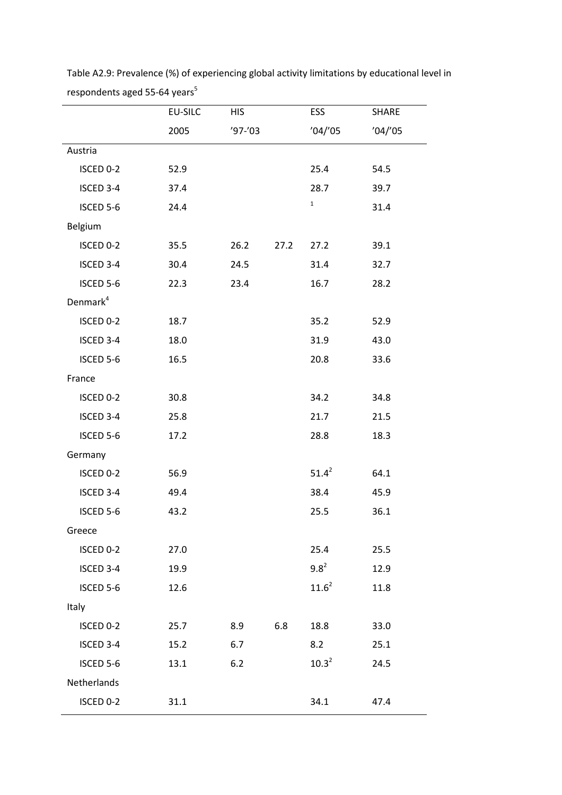|                      | <b>EU-SILC</b> | <b>HIS</b> |      | ESS         | SHARE   |
|----------------------|----------------|------------|------|-------------|---------|
|                      | 2005           | $'97-'03$  |      | '04''05     | '04''05 |
| Austria              |                |            |      |             |         |
| ISCED 0-2            | 52.9           |            |      | 25.4        | 54.5    |
| ISCED 3-4            | 37.4           |            |      | 28.7        | 39.7    |
| ISCED 5-6            | 24.4           |            |      | $\mathbf 1$ | 31.4    |
| Belgium              |                |            |      |             |         |
| ISCED 0-2            | 35.5           | 26.2       | 27.2 | 27.2        | 39.1    |
| ISCED 3-4            | 30.4           | 24.5       |      | 31.4        | 32.7    |
| ISCED 5-6            | 22.3           | 23.4       |      | 16.7        | 28.2    |
| Denmark <sup>4</sup> |                |            |      |             |         |
| ISCED 0-2            | 18.7           |            |      | 35.2        | 52.9    |
| ISCED 3-4            | 18.0           |            |      | 31.9        | 43.0    |
| ISCED 5-6            | 16.5           |            |      | 20.8        | 33.6    |
| France               |                |            |      |             |         |
| ISCED 0-2            | 30.8           |            |      | 34.2        | 34.8    |
| ISCED 3-4            | 25.8           |            |      | 21.7        | 21.5    |
| ISCED 5-6            | 17.2           |            |      | 28.8        | 18.3    |
| Germany              |                |            |      |             |         |
| ISCED 0-2            | 56.9           |            |      | $51.4^2$    | 64.1    |
| ISCED 3-4            | 49.4           |            |      | 38.4        | 45.9    |
| ISCED 5-6            | 43.2           |            |      | 25.5        | 36.1    |
| Greece               |                |            |      |             |         |
| ISCED 0-2            | 27.0           |            |      | 25.4        | 25.5    |
| ISCED 3-4            | 19.9           |            |      | $9.8^{2}$   | 12.9    |
| ISCED 5-6            | 12.6           |            |      | $11.6^2$    | 11.8    |
| Italy                |                |            |      |             |         |
| ISCED 0-2            | 25.7           | 8.9        | 6.8  | 18.8        | 33.0    |
| ISCED 3-4            | 15.2           | 6.7        |      | 8.2         | 25.1    |
| ISCED 5-6            | 13.1           | 6.2        |      | $10.3^2$    | 24.5    |
| Netherlands          |                |            |      |             |         |
| ISCED 0-2            | 31.1           |            |      | 34.1        | 47.4    |

Table A2.9: Prevalence (%) of experiencing global activity limitations by educational level in respondents aged 55-64 years<sup>5</sup>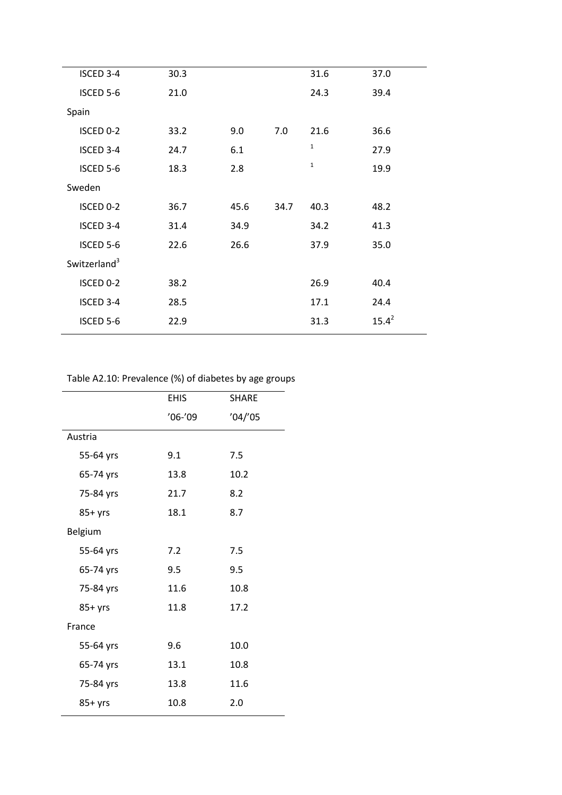| ISCED 3-4                | 30.3 |      |      | 31.6         | 37.0     |
|--------------------------|------|------|------|--------------|----------|
| ISCED 5-6                | 21.0 |      |      | 24.3         | 39.4     |
| Spain                    |      |      |      |              |          |
| ISCED 0-2                | 33.2 | 9.0  | 7.0  | 21.6         | 36.6     |
| ISCED 3-4                | 24.7 | 6.1  |      | $\mathbf{1}$ | 27.9     |
| ISCED 5-6                | 18.3 | 2.8  |      | $\mathbf{1}$ | 19.9     |
| Sweden                   |      |      |      |              |          |
| ISCED 0-2                | 36.7 | 45.6 | 34.7 | 40.3         | 48.2     |
| ISCED 3-4                | 31.4 | 34.9 |      | 34.2         | 41.3     |
| ISCED 5-6                | 22.6 | 26.6 |      | 37.9         | 35.0     |
| Switzerland <sup>3</sup> |      |      |      |              |          |
| ISCED 0-2                | 38.2 |      |      | 26.9         | 40.4     |
| ISCED 3-4                | 28.5 |      |      | 17.1         | 24.4     |
| ISCED 5-6                | 22.9 |      |      | 31.3         | $15.4^2$ |
|                          |      |      |      |              |          |

# Table A2.10: Prevalence (%) of diabetes by age groups

|           | <b>EHIS</b> | <b>SHARE</b> |
|-----------|-------------|--------------|
|           | $'06-'09$   | '04''05      |
| Austria   |             |              |
| 55-64 yrs | 9.1         | 7.5          |
| 65-74 yrs | 13.8        | 10.2         |
| 75-84 yrs | 21.7        | 8.2          |
| $85+yrs$  | 18.1        | 8.7          |
| Belgium   |             |              |
| 55-64 yrs | 7.2         | 7.5          |
| 65-74 yrs | 9.5         | 9.5          |
| 75-84 yrs | 11.6        | 10.8         |
| $85+yrs$  | 11.8        | 17.2         |
| France    |             |              |
| 55-64 yrs | 9.6         | 10.0         |
| 65-74 yrs | 13.1        | 10.8         |
| 75-84 yrs | 13.8        | 11.6         |
| $85+yrs$  | 10.8        | 2.0          |
|           |             |              |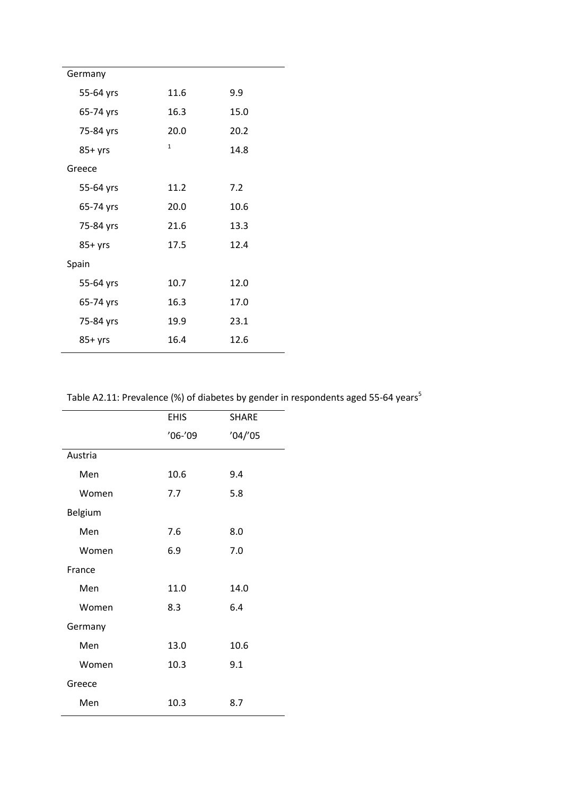| Germany   |              |      |  |
|-----------|--------------|------|--|
| 55-64 yrs | 11.6         | 9.9  |  |
| 65-74 yrs | 16.3         | 15.0 |  |
| 75-84 yrs | 20.0         | 20.2 |  |
| $85+yrs$  | $\mathbf{1}$ | 14.8 |  |
| Greece    |              |      |  |
| 55-64 yrs | 11.2         | 7.2  |  |
| 65-74 yrs | 20.0         | 10.6 |  |
| 75-84 yrs | 21.6         | 13.3 |  |
| $85+yrs$  | 17.5         | 12.4 |  |
| Spain     |              |      |  |
| 55-64 yrs | 10.7         | 12.0 |  |
| 65-74 yrs | 16.3         | 17.0 |  |
| 75-84 yrs | 19.9         | 23.1 |  |
| $85+$ yrs | 16.4         | 12.6 |  |

Table A2.11: Prevalence (%) of diabetes by gender in respondents aged 55-64 years<sup>5</sup>

|         | <b>EHIS</b> | <b>SHARE</b> |
|---------|-------------|--------------|
|         | $'06-'09$   | '04''05      |
| Austria |             |              |
| Men     | 10.6        | 9.4          |
| Women   | 7.7         | 5.8          |
| Belgium |             |              |
| Men     | 7.6         | 8.0          |
| Women   | 6.9         | 7.0          |
| France  |             |              |
| Men     | 11.0        | 14.0         |
| Women   | 8.3         | 6.4          |
| Germany |             |              |
| Men     | 13.0        | 10.6         |
| Women   | 10.3        | 9.1          |
| Greece  |             |              |
| Men     | 10.3        | 8.7          |
|         |             |              |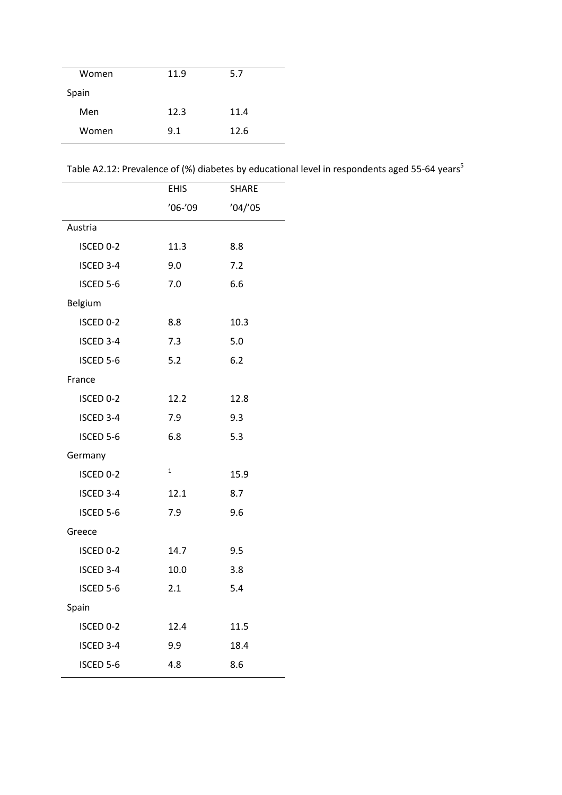| Women | 11.9 | 5.7  |
|-------|------|------|
| Spain |      |      |
| Men   | 12.3 | 11.4 |
| Women | 9.1  | 12.6 |

Table A2.12: Prevalence of (%) diabetes by educational level in respondents aged 55-64 years<sup>5</sup>

|           | <b>EHIS</b>  | <b>SHARE</b> |
|-----------|--------------|--------------|
|           | $'06-'09$    | '04''05      |
| Austria   |              |              |
| ISCED 0-2 | 11.3         | 8.8          |
| ISCED 3-4 | 9.0          | 7.2          |
| ISCED 5-6 | 7.0          | 6.6          |
| Belgium   |              |              |
| ISCED 0-2 | 8.8          | 10.3         |
| ISCED 3-4 | 7.3          | 5.0          |
| ISCED 5-6 | 5.2          | 6.2          |
| France    |              |              |
| ISCED 0-2 | 12.2         | 12.8         |
| ISCED 3-4 | 7.9          | 9.3          |
| ISCED 5-6 | 6.8          | 5.3          |
| Germany   |              |              |
| ISCED 0-2 | $\mathbf{1}$ | 15.9         |
| ISCED 3-4 | 12.1         | 8.7          |
| ISCED 5-6 | 7.9          | 9.6          |
| Greece    |              |              |
| ISCED 0-2 | 14.7         | 9.5          |
| ISCED 3-4 | 10.0         | 3.8          |
| ISCED 5-6 | 2.1          | 5.4          |
| Spain     |              |              |
| ISCED 0-2 | 12.4         | 11.5         |
| ISCED 3-4 | 9.9          | 18.4         |
| ISCED 5-6 | 4.8          | 8.6          |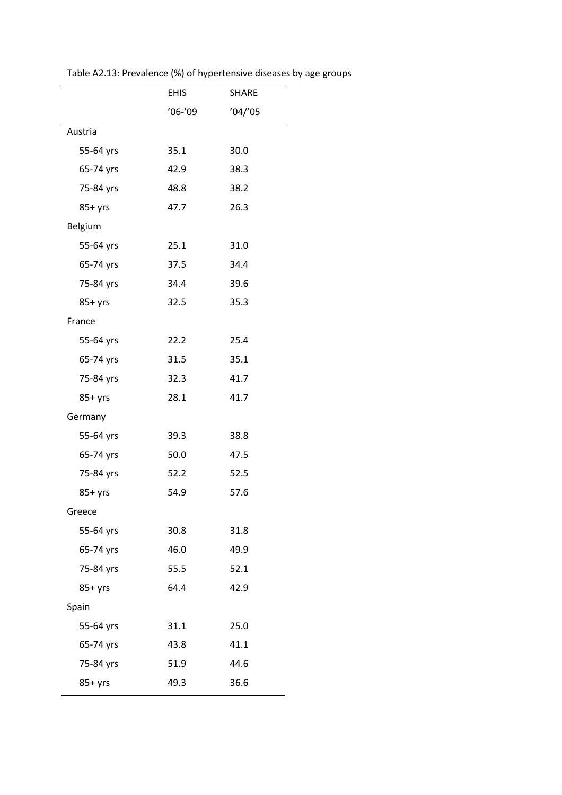|           | <b>EHIS</b> | <b>SHARE</b> |
|-----------|-------------|--------------|
|           | $'06-'09$   | '04''05      |
| Austria   |             |              |
| 55-64 yrs | 35.1        | 30.0         |
| 65-74 yrs | 42.9        | 38.3         |
| 75-84 yrs | 48.8        | 38.2         |
| $85+yrs$  | 47.7        | 26.3         |
| Belgium   |             |              |
| 55-64 yrs | 25.1        | 31.0         |
| 65-74 yrs | 37.5        | 34.4         |
| 75-84 yrs | 34.4        | 39.6         |
| $85+yrs$  | 32.5        | 35.3         |
| France    |             |              |
| 55-64 yrs | 22.2        | 25.4         |
| 65-74 yrs | 31.5        | 35.1         |
| 75-84 yrs | 32.3        | 41.7         |
| $85+yrs$  | 28.1        | 41.7         |
| Germany   |             |              |
| 55-64 yrs | 39.3        | 38.8         |
| 65-74 yrs | 50.0        | 47.5         |
| 75-84 yrs | 52.2        | 52.5         |
| $85+yrs$  | 54.9        | 57.6         |
| Greece    |             |              |
| 55-64 yrs | 30.8        | 31.8         |
| 65-74 yrs | 46.0        | 49.9         |
| 75-84 yrs | 55.5        | 52.1         |
| $85+yrs$  | 64.4        | 42.9         |
| Spain     |             |              |
| 55-64 yrs | 31.1        | 25.0         |
| 65-74 yrs | 43.8        | 41.1         |
| 75-84 yrs | 51.9        | 44.6         |
| 85+ yrs   | 49.3        | 36.6         |

Table A2.13: Prevalence (%) of hypertensive diseases by age groups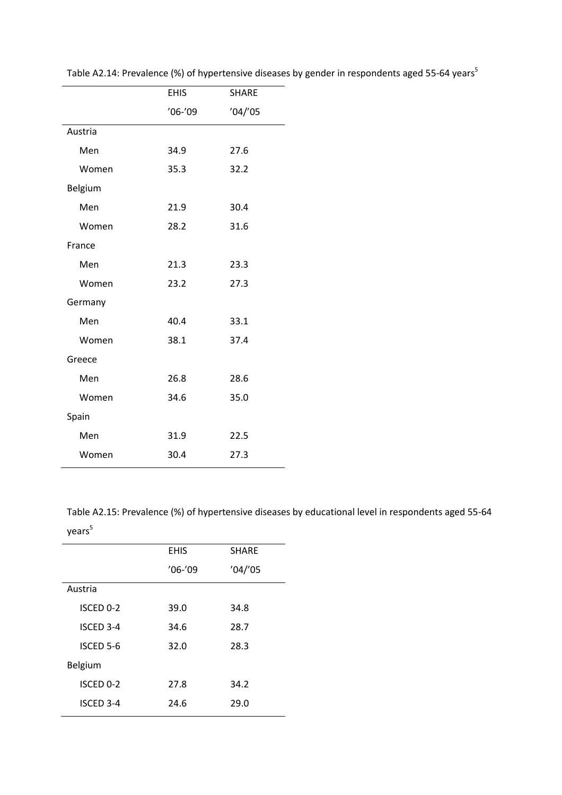|         | <b>EHIS</b> | <b>SHARE</b> |
|---------|-------------|--------------|
|         | $'06-'09$   | '04''05      |
| Austria |             |              |
| Men     | 34.9        | 27.6         |
| Women   | 35.3        | 32.2         |
| Belgium |             |              |
| Men     | 21.9        | 30.4         |
| Women   | 28.2        | 31.6         |
| France  |             |              |
| Men     | 21.3        | 23.3         |
| Women   | 23.2        | 27.3         |
| Germany |             |              |
| Men     | 40.4        | 33.1         |
| Women   | 38.1        | 37.4         |
| Greece  |             |              |
| Men     | 26.8        | 28.6         |
| Women   | 34.6        | 35.0         |
| Spain   |             |              |
| Men     | 31.9        | 22.5         |
| Women   | 30.4        | 27.3         |
|         |             |              |

Table A2.14: Prevalence (%) of hypertensive diseases by gender in respondents aged 55-64 years<sup>5</sup>

Table A2.15: Prevalence (%) of hypertensive diseases by educational level in respondents aged 55-64 years<sup>5</sup>

|      | <b>SHARE</b>             |
|------|--------------------------|
|      |                          |
|      | '04''05                  |
|      |                          |
| 39.0 | 34.8                     |
| 34.6 | 28.7                     |
| 32.0 | 28.3                     |
|      |                          |
| 27.8 | 34.2                     |
| 24.6 | 29.0                     |
|      | <b>EHIS</b><br>$'06-'09$ |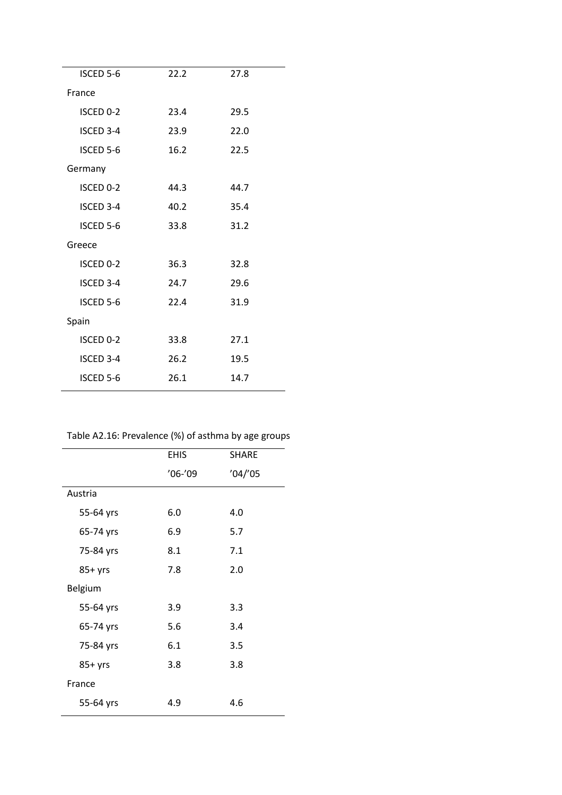| <b>ISCED 5-6</b> | 22.2 | 27.8 |  |  |
|------------------|------|------|--|--|
| France           |      |      |  |  |
| ISCED 0-2        | 23.4 | 29.5 |  |  |
| <b>ISCED 3-4</b> | 23.9 | 22.0 |  |  |
| ISCED 5-6        | 16.2 | 22.5 |  |  |
| Germany          |      |      |  |  |
| ISCED 0-2        | 44.3 | 44.7 |  |  |
| ISCED 3-4        | 40.2 | 35.4 |  |  |
| <b>ISCED 5-6</b> | 33.8 | 31.2 |  |  |
| Greece           |      |      |  |  |
| ISCED 0-2        | 36.3 | 32.8 |  |  |
| ISCED 3-4        | 24.7 | 29.6 |  |  |
| ISCED 5-6        | 22.4 | 31.9 |  |  |
| Spain            |      |      |  |  |
| ISCED 0-2        | 33.8 | 27.1 |  |  |
| <b>ISCED 3-4</b> | 26.2 | 19.5 |  |  |
| <b>ISCED 5-6</b> | 26.1 | 14.7 |  |  |
|                  |      |      |  |  |

# Table A2.16: Prevalence (%) of asthma by age groups

|           | <b>EHIS</b> | <b>SHARE</b> |
|-----------|-------------|--------------|
|           | $'06-'09$   | '04''05      |
| Austria   |             |              |
| 55-64 yrs | 6.0         | 4.0          |
| 65-74 yrs | 6.9         | 5.7          |
| 75-84 yrs | 8.1         | 7.1          |
| $85+yrs$  | 7.8         | 2.0          |
| Belgium   |             |              |
| 55-64 yrs | 3.9         | 3.3          |
| 65-74 yrs | 5.6         | 3.4          |
| 75-84 yrs | 6.1         | 3.5          |
| $85+$ yrs | 3.8         | 3.8          |
| France    |             |              |
| 55-64 yrs | 4.9         | 4.6          |
|           |             |              |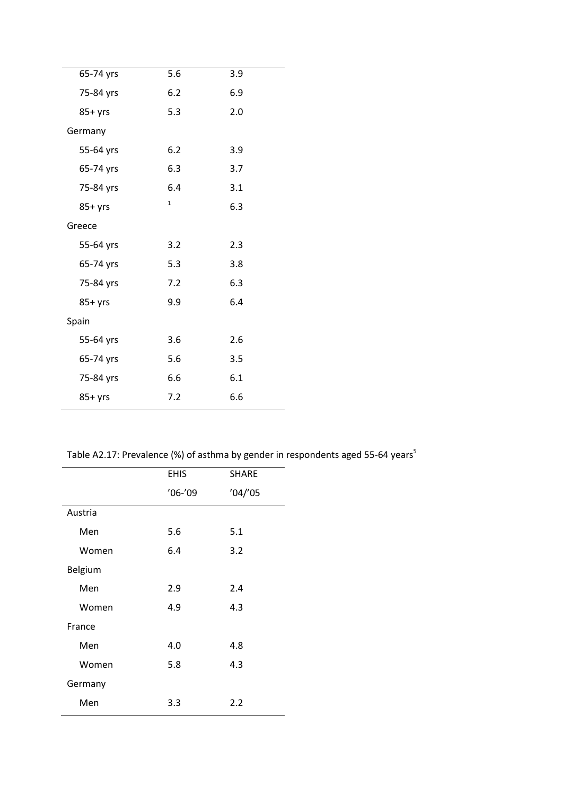| 65-74 yrs | 5.6          | 3.9 |
|-----------|--------------|-----|
| 75-84 yrs | 6.2          | 6.9 |
| $85+yrs$  | 5.3          | 2.0 |
| Germany   |              |     |
| 55-64 yrs | 6.2          | 3.9 |
| 65-74 yrs | 6.3          | 3.7 |
| 75-84 yrs | 6.4          | 3.1 |
| $85+yrs$  | $\mathbf{1}$ | 6.3 |
| Greece    |              |     |
| 55-64 yrs | 3.2          | 2.3 |
| 65-74 yrs | 5.3          | 3.8 |
| 75-84 yrs | 7.2          | 6.3 |
| $85+yrs$  | 9.9          | 6.4 |
| Spain     |              |     |
| 55-64 yrs | 3.6          | 2.6 |
| 65-74 yrs | 5.6          | 3.5 |
| 75-84 yrs | 6.6          | 6.1 |
| $85+yrs$  | 7.2          | 6.6 |

Table A2.17: Prevalence (%) of asthma by gender in respondents aged 55-64 years<sup>5</sup>

|         | <b>EHIS</b> | <b>SHARE</b> |
|---------|-------------|--------------|
|         | $'06-'09$   | '04''05      |
| Austria |             |              |
| Men     | 5.6         | 5.1          |
| Women   | 6.4         | 3.2          |
| Belgium |             |              |
| Men     | 2.9         | 2.4          |
| Women   | 4.9         | 4.3          |
| France  |             |              |
| Men     | 4.0         | 4.8          |
| Women   | 5.8         | 4.3          |
| Germany |             |              |
| Men     | 3.3         | 2.2          |
|         |             |              |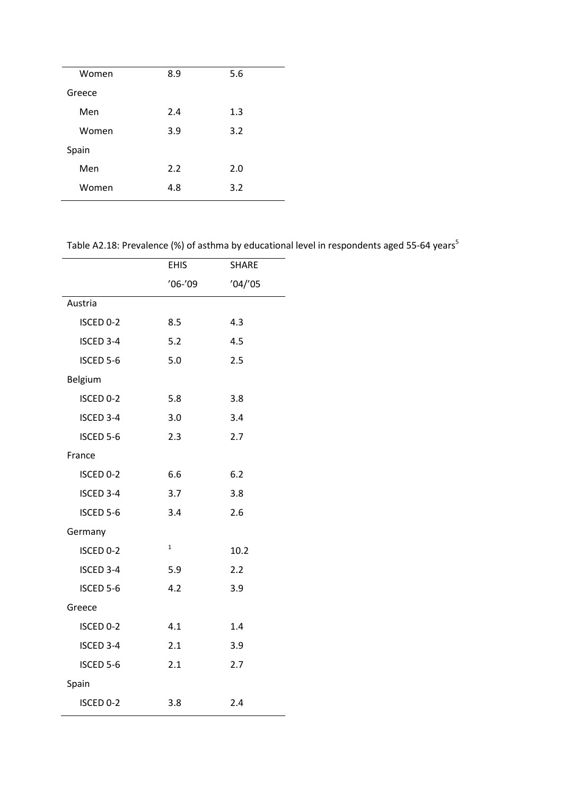| Women  | 8.9 | 5.6 |  |
|--------|-----|-----|--|
| Greece |     |     |  |
| Men    | 2.4 | 1.3 |  |
| Women  | 3.9 | 3.2 |  |
| Spain  |     |     |  |
| Men    | 2.2 | 2.0 |  |
| Women  | 4.8 | 3.2 |  |
|        |     |     |  |

Table A2.18: Prevalence (%) of asthma by educational level in respondents aged 55-64 years<sup>5</sup>

|           | <b>EHIS</b>  | <b>SHARE</b> |
|-----------|--------------|--------------|
|           | $'06-'09$    | '04''05      |
| Austria   |              |              |
| ISCED 0-2 | 8.5          | 4.3          |
| ISCED 3-4 | 5.2          | 4.5          |
| ISCED 5-6 | 5.0          | 2.5          |
| Belgium   |              |              |
| ISCED 0-2 | 5.8          | 3.8          |
| ISCED 3-4 | 3.0          | 3.4          |
| ISCED 5-6 | 2.3          | 2.7          |
| France    |              |              |
| ISCED 0-2 | 6.6          | 6.2          |
| ISCED 3-4 | 3.7          | 3.8          |
| ISCED 5-6 | 3.4          | 2.6          |
| Germany   |              |              |
| ISCED 0-2 | $\mathbf{1}$ | 10.2         |
| ISCED 3-4 | 5.9          | 2.2          |
| ISCED 5-6 | 4.2          | 3.9          |
| Greece    |              |              |
| ISCED 0-2 | 4.1          | 1.4          |
| ISCED 3-4 | 2.1          | 3.9          |
| ISCED 5-6 | 2.1          | 2.7          |
| Spain     |              |              |
| ISCED 0-2 | 3.8          | 2.4          |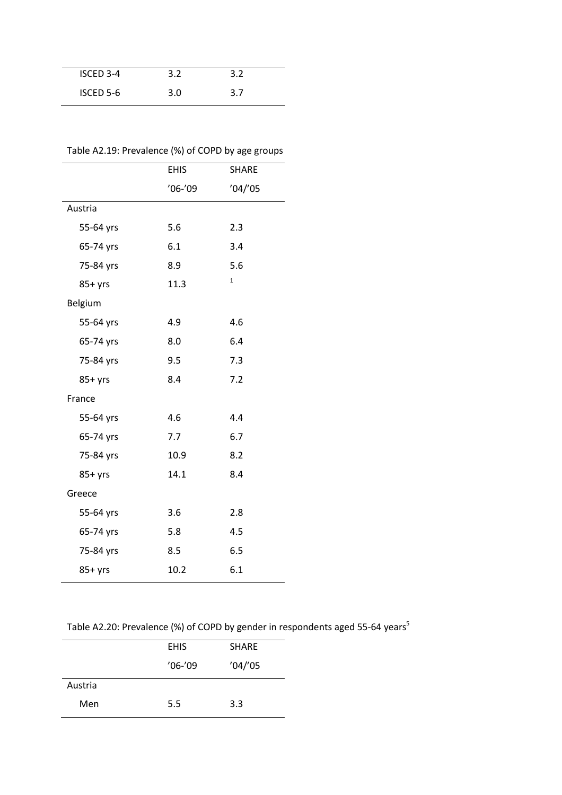| ISCED 3-4        | 3.2 | 3.2 |  |
|------------------|-----|-----|--|
| <b>ISCED 5-6</b> | 3.0 | 3.7 |  |
|                  |     |     |  |

# Table A2.19: Prevalence (%) of COPD by age groups

|           | <b>EHIS</b> | <b>SHARE</b> |
|-----------|-------------|--------------|
|           | $'06-'09$   | '04''05      |
| Austria   |             |              |
| 55-64 yrs | 5.6         | 2.3          |
| 65-74 yrs | 6.1         | 3.4          |
| 75-84 yrs | 8.9         | 5.6          |
| $85+yrs$  | 11.3        | $\mathbf{1}$ |
| Belgium   |             |              |
| 55-64 yrs | 4.9         | 4.6          |
| 65-74 yrs | 8.0         | 6.4          |
| 75-84 yrs | 9.5         | 7.3          |
| $85+yrs$  | 8.4         | 7.2          |
| France    |             |              |
| 55-64 yrs | 4.6         | 4.4          |
| 65-74 yrs | 7.7         | 6.7          |
| 75-84 yrs | 10.9        | 8.2          |
| $85+yrs$  | 14.1        | 8.4          |
| Greece    |             |              |
| 55-64 yrs | 3.6         | 2.8          |
| 65-74 yrs | 5.8         | 4.5          |
| 75-84 yrs | 8.5         | 6.5          |
| $85+yrs$  | 10.2        | 6.1          |

Table A2.20: Prevalence (%) of COPD by gender in respondents aged 55-64 years<sup>5</sup>

|         | <b>EHIS</b> | <b>SHARE</b> |
|---------|-------------|--------------|
|         | $'06-'09$   | '04''05      |
| Austria |             |              |
| Men     | 5.5         | 3.3          |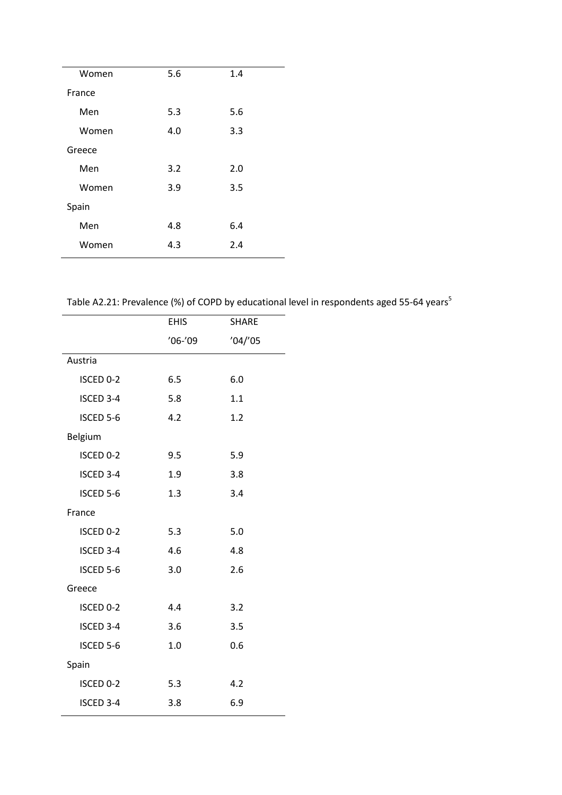| Women  | 5.6 | 1.4 |  |
|--------|-----|-----|--|
| France |     |     |  |
| Men    | 5.3 | 5.6 |  |
| Women  | 4.0 | 3.3 |  |
| Greece |     |     |  |
| Men    | 3.2 | 2.0 |  |
| Women  | 3.9 | 3.5 |  |
| Spain  |     |     |  |
| Men    | 4.8 | 6.4 |  |
| Women  | 4.3 | 2.4 |  |

Table A2.21: Prevalence (%) of COPD by educational level in respondents aged 55-64 years<sup>5</sup>

|           | <b>EHIS</b> | <b>SHARE</b> |
|-----------|-------------|--------------|
|           | $'06-'09$   | '04''05      |
| Austria   |             |              |
| ISCED 0-2 | 6.5         | 6.0          |
| ISCED 3-4 | 5.8         | 1.1          |
| ISCED 5-6 | 4.2         | 1.2          |
| Belgium   |             |              |
| ISCED 0-2 | 9.5         | 5.9          |
| ISCED 3-4 | 1.9         | 3.8          |
| ISCED 5-6 | 1.3         | 3.4          |
| France    |             |              |
| ISCED 0-2 | 5.3         | 5.0          |
| ISCED 3-4 | 4.6         | 4.8          |
| ISCED 5-6 | 3.0         | 2.6          |
| Greece    |             |              |
| ISCED 0-2 | 4.4         | 3.2          |
| ISCED 3-4 | 3.6         | 3.5          |
| ISCED 5-6 | 1.0         | 0.6          |
| Spain     |             |              |
| ISCED 0-2 | 5.3         | 4.2          |
| ISCED 3-4 | 3.8         | 6.9          |
|           |             |              |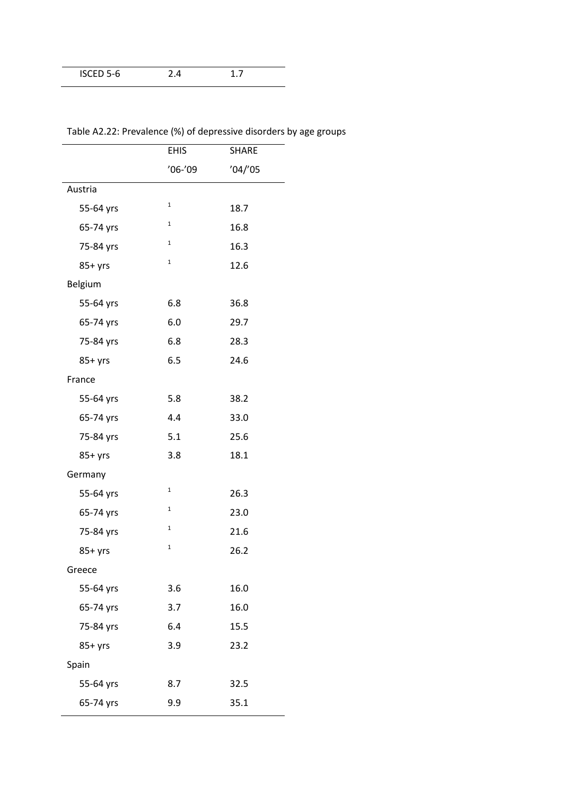| ISCED 5-6 |  |  |
|-----------|--|--|
|           |  |  |

|           | <b>EHIS</b>  | <b>SHARE</b> |
|-----------|--------------|--------------|
|           | $'06-'09$    | '04''05      |
| Austria   |              |              |
| 55-64 yrs | $\mathbf 1$  | 18.7         |
| 65-74 yrs | $\mathbf{1}$ | 16.8         |
| 75-84 yrs | $\mathbf{1}$ | 16.3         |
| $85+yrs$  | $\mathbf 1$  | 12.6         |
| Belgium   |              |              |
| 55-64 yrs | 6.8          | 36.8         |
| 65-74 yrs | 6.0          | 29.7         |
| 75-84 yrs | 6.8          | 28.3         |
| $85+yrs$  | 6.5          | 24.6         |
| France    |              |              |
| 55-64 yrs | 5.8          | 38.2         |
| 65-74 yrs | 4.4          | 33.0         |
| 75-84 yrs | 5.1          | 25.6         |
| $85+$ yrs | 3.8          | 18.1         |
| Germany   |              |              |
| 55-64 yrs | $\mathbf{1}$ | 26.3         |
| 65-74 yrs | $\mathbf{1}$ | 23.0         |
| 75-84 yrs | 1            | 21.6         |
| $85+yrs$  | $\mathbf 1$  | 26.2         |
| Greece    |              |              |
| 55-64 yrs | 3.6          | 16.0         |
| 65-74 yrs | 3.7          | 16.0         |
| 75-84 yrs | 6.4          | 15.5         |
| $85+yrs$  | 3.9          | 23.2         |
| Spain     |              |              |
| 55-64 yrs | 8.7          | 32.5         |
| 65-74 yrs | 9.9          | 35.1         |

Table A2.22: Prevalence (%) of depressive disorders by age groups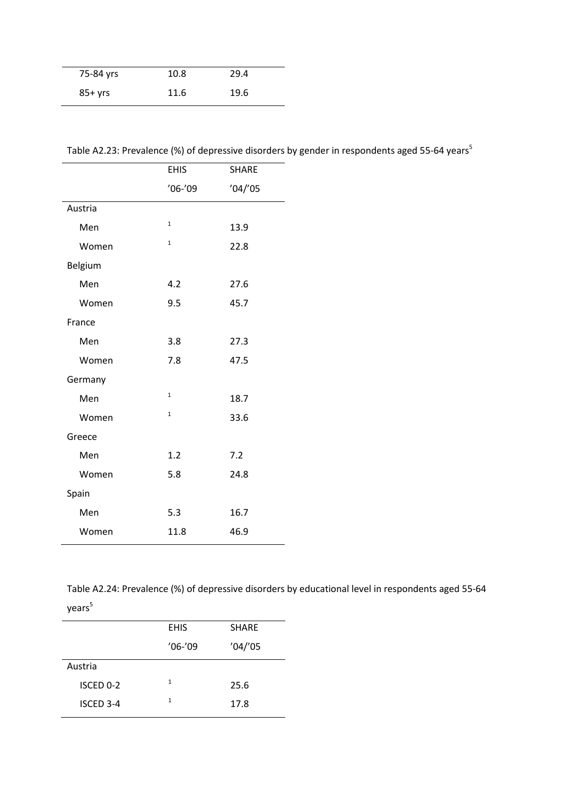| 75-84 yrs | 10.8 | 29.4 |  |
|-----------|------|------|--|
| 85+ yrs   | 11.6 | 19.6 |  |

| Table A2.23: Prevalence (%) of depressive disorders by gender in respondents aged 55-64 years <sup>5</sup> |  |  |  |  |
|------------------------------------------------------------------------------------------------------------|--|--|--|--|
|------------------------------------------------------------------------------------------------------------|--|--|--|--|

|         | <b>EHIS</b>  | <b>SHARE</b> |
|---------|--------------|--------------|
|         | $'06-'09$    | '04''05      |
| Austria |              |              |
| Men     | $\mathbf 1$  | 13.9         |
| Women   | $\mathbf{1}$ | 22.8         |
| Belgium |              |              |
| Men     | 4.2          | 27.6         |
| Women   | 9.5          | 45.7         |
| France  |              |              |
| Men     | 3.8          | 27.3         |
| Women   | 7.8          | 47.5         |
| Germany |              |              |
| Men     | $\mathbf{1}$ | 18.7         |
| Women   | $\mathbf{1}$ | 33.6         |
| Greece  |              |              |
| Men     | 1.2          | 7.2          |
| Women   | 5.8          | 24.8         |
| Spain   |              |              |
| Men     | 5.3          | 16.7         |
| Women   | 11.8         | 46.9         |

Table A2.24: Prevalence (%) of depressive disorders by educational level in respondents aged 55-64  $years<sup>5</sup>$ 

|                  | <b>EHIS</b>  | <b>SHARE</b> |
|------------------|--------------|--------------|
|                  | $'06-'09$    | '04''05      |
| Austria          |              |              |
| ISCED 0-2        | $\mathbf{1}$ | 25.6         |
| <b>ISCED 3-4</b> | 1            | 17.8         |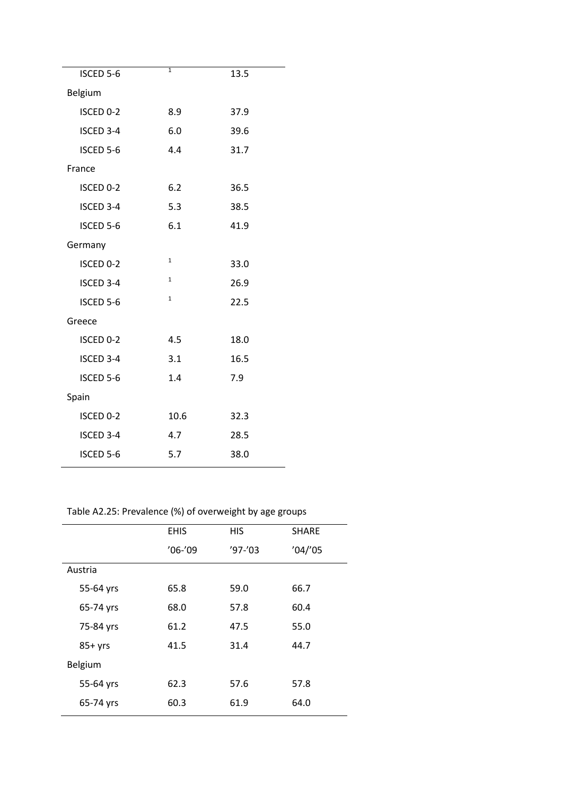|              | 13.5 |
|--------------|------|
|              |      |
| 8.9          | 37.9 |
| 6.0          | 39.6 |
| 4.4          | 31.7 |
|              |      |
| 6.2          | 36.5 |
| 5.3          | 38.5 |
| 6.1          | 41.9 |
|              |      |
| $\mathbf{1}$ | 33.0 |
| $1\,$        | 26.9 |
| $\mathbf{1}$ | 22.5 |
|              |      |
| 4.5          | 18.0 |
| 3.1          | 16.5 |
| 1.4          | 7.9  |
|              |      |
| 10.6         | 32.3 |
| 4.7          | 28.5 |
| 5.7          | 38.0 |
|              | 1    |

Table A2.25: Prevalence (%) of overweight by age groups

|          |           | <b>EHIS</b> | <b>HIS</b> | <b>SHARE</b> |
|----------|-----------|-------------|------------|--------------|
|          |           | $'06-'09$   | $'97-'03$  | '04''05      |
| Austria  |           |             |            |              |
|          | 55-64 yrs | 65.8        | 59.0       | 66.7         |
|          | 65-74 yrs | 68.0        | 57.8       | 60.4         |
|          | 75-84 yrs | 61.2        | 47.5       | 55.0         |
| $85+yrs$ |           | 41.5        | 31.4       | 44.7         |
| Belgium  |           |             |            |              |
|          | 55-64 yrs | 62.3        | 57.6       | 57.8         |
|          | 65-74 yrs | 60.3        | 61.9       | 64.0         |
|          |           |             |            |              |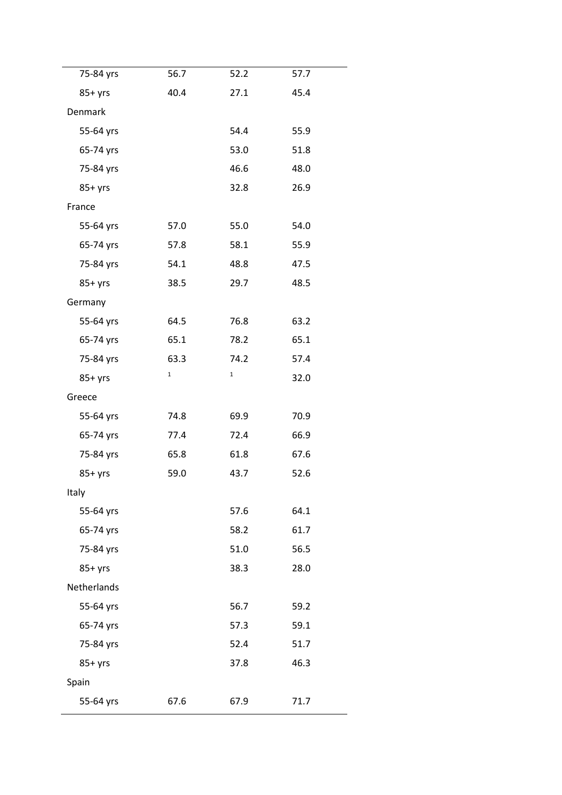| 75-84 yrs      | 56.7         | 52.2         | 57.7 |
|----------------|--------------|--------------|------|
| $85+yrs$       | 40.4         | 27.1         | 45.4 |
| <b>Denmark</b> |              |              |      |
| 55-64 yrs      |              | 54.4         | 55.9 |
| 65-74 yrs      |              | 53.0         | 51.8 |
| 75-84 yrs      |              | 46.6         | 48.0 |
| $85+yrs$       |              | 32.8         | 26.9 |
| France         |              |              |      |
| 55-64 yrs      | 57.0         | 55.0         | 54.0 |
| 65-74 yrs      | 57.8         | 58.1         | 55.9 |
| 75-84 yrs      | 54.1         | 48.8         | 47.5 |
| $85+yrs$       | 38.5         | 29.7         | 48.5 |
| Germany        |              |              |      |
| 55-64 yrs      | 64.5         | 76.8         | 63.2 |
| 65-74 yrs      | 65.1         | 78.2         | 65.1 |
| 75-84 yrs      | 63.3         | 74.2         | 57.4 |
| $85+yrs$       | $\mathbf{1}$ | $\mathbf{1}$ | 32.0 |
| Greece         |              |              |      |
| 55-64 yrs      | 74.8         | 69.9         | 70.9 |
| 65-74 yrs      | 77.4         | 72.4         | 66.9 |
| 75-84 yrs      | 65.8         | 61.8         | 67.6 |
| $85+yrs$       | 59.0         | 43.7         | 52.6 |
| Italy          |              |              |      |
| 55-64 yrs      |              | 57.6         | 64.1 |
| 65-74 yrs      |              | 58.2         | 61.7 |
| 75-84 yrs      |              | 51.0         | 56.5 |
| $85+yrs$       |              | 38.3         | 28.0 |
| Netherlands    |              |              |      |
| 55-64 yrs      |              | 56.7         | 59.2 |
| 65-74 yrs      |              | 57.3         | 59.1 |
| 75-84 yrs      |              | 52.4         | 51.7 |
| $85+yrs$       |              | 37.8         | 46.3 |
| Spain          |              |              |      |
| 55-64 yrs      | 67.6         | 67.9         | 71.7 |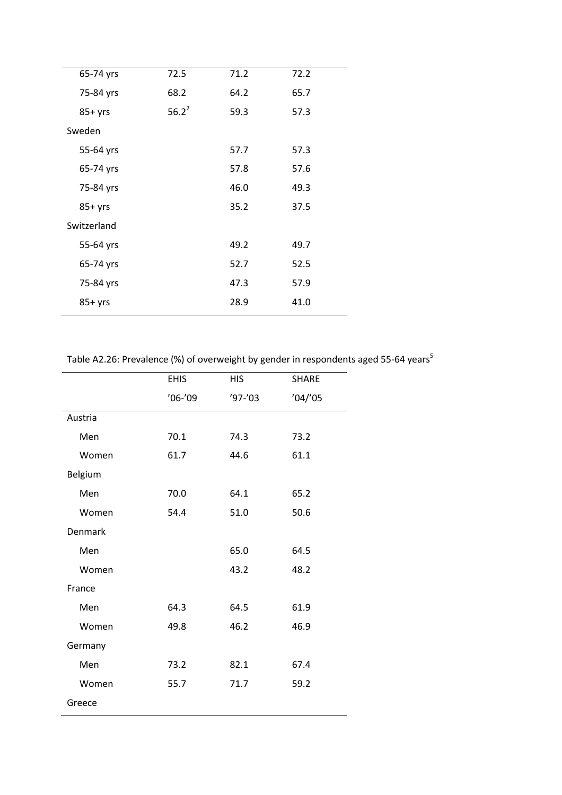| 65-74 yrs   | 72.5     | 71.2 | 72.2 |  |
|-------------|----------|------|------|--|
| 75-84 yrs   | 68.2     | 64.2 | 65.7 |  |
| $85+yrs$    | $56.2^2$ | 59.3 | 57.3 |  |
| Sweden      |          |      |      |  |
| 55-64 yrs   |          | 57.7 | 57.3 |  |
| 65-74 yrs   |          | 57.8 | 57.6 |  |
| 75-84 yrs   |          | 46.0 | 49.3 |  |
| $85+yrs$    |          | 35.2 | 37.5 |  |
| Switzerland |          |      |      |  |
| 55-64 yrs   |          | 49.2 | 49.7 |  |
| 65-74 yrs   |          | 52.7 | 52.5 |  |
| 75-84 yrs   |          | 47.3 | 57.9 |  |
| $85+yrs$    |          | 28.9 | 41.0 |  |
|             |          |      |      |  |

Table A2.26: Prevalence (%) of overweight by gender in respondents aged 55-64 years<sup>5</sup>

|         | <b>EHIS</b> | <b>HIS</b> | <b>SHARE</b> |
|---------|-------------|------------|--------------|
|         | $'06-'09$   | $'97-'03$  | '04''05      |
| Austria |             |            |              |
| Men     | 70.1        | 74.3       | 73.2         |
| Women   | 61.7        | 44.6       | 61.1         |
| Belgium |             |            |              |
| Men     | 70.0        | 64.1       | 65.2         |
| Women   | 54.4        | 51.0       | 50.6         |
| Denmark |             |            |              |
| Men     |             | 65.0       | 64.5         |
| Women   |             | 43.2       | 48.2         |
| France  |             |            |              |
| Men     | 64.3        | 64.5       | 61.9         |
| Women   | 49.8        | 46.2       | 46.9         |
| Germany |             |            |              |
| Men     | 73.2        | 82.1       | 67.4         |
| Women   | 55.7        | 71.7       | 59.2         |
| Greece  |             |            |              |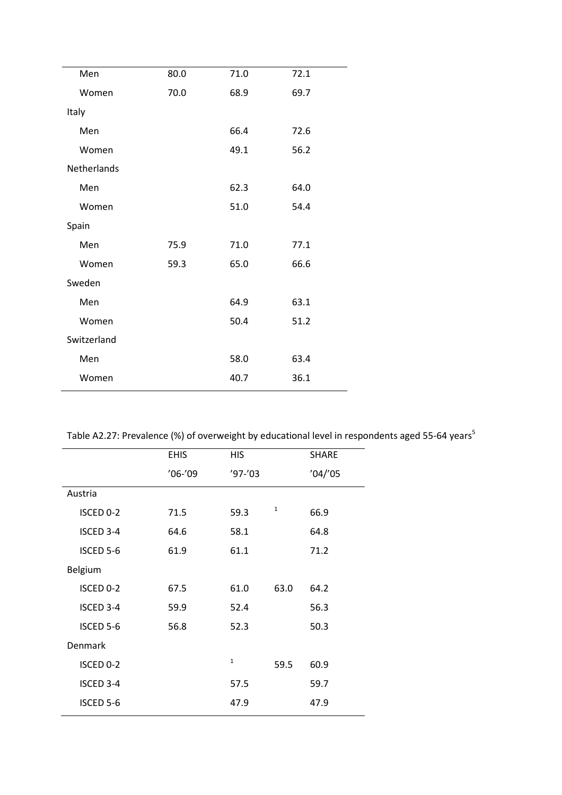| Men         | 80.0 | 71.0 | 72.1 |
|-------------|------|------|------|
| Women       | 70.0 | 68.9 | 69.7 |
| Italy       |      |      |      |
| Men         |      | 66.4 | 72.6 |
| Women       |      | 49.1 | 56.2 |
| Netherlands |      |      |      |
| Men         |      | 62.3 | 64.0 |
| Women       |      | 51.0 | 54.4 |
| Spain       |      |      |      |
| Men         | 75.9 | 71.0 | 77.1 |
| Women       | 59.3 | 65.0 | 66.6 |
| Sweden      |      |      |      |
| Men         |      | 64.9 | 63.1 |
| Women       |      | 50.4 | 51.2 |
| Switzerland |      |      |      |
| Men         |      | 58.0 | 63.4 |
| Women       |      | 40.7 | 36.1 |

| Table A2.27: Prevalence (%) of overweight by educational level in respondents aged 55-64 years <sup>5</sup> |  |
|-------------------------------------------------------------------------------------------------------------|--|
|-------------------------------------------------------------------------------------------------------------|--|

|           | <b>EHIS</b> | <b>HIS</b>   |      | <b>SHARE</b> |
|-----------|-------------|--------------|------|--------------|
|           | $'06-'09$   | $'97-'03$    |      | '04''05      |
| Austria   |             |              |      |              |
| ISCED 0-2 | 71.5        | 59.3         | 1    | 66.9         |
| ISCED 3-4 | 64.6        | 58.1         |      | 64.8         |
| ISCED 5-6 | 61.9        | 61.1         |      | 71.2         |
| Belgium   |             |              |      |              |
| ISCED 0-2 | 67.5        | 61.0         | 63.0 | 64.2         |
| ISCED 3-4 | 59.9        | 52.4         |      | 56.3         |
| ISCED 5-6 | 56.8        | 52.3         |      | 50.3         |
| Denmark   |             |              |      |              |
| ISCED 0-2 |             | $\mathbf{1}$ | 59.5 | 60.9         |
| ISCED 3-4 |             | 57.5         |      | 59.7         |
| ISCED 5-6 |             | 47.9         |      | 47.9         |
|           |             |              |      |              |